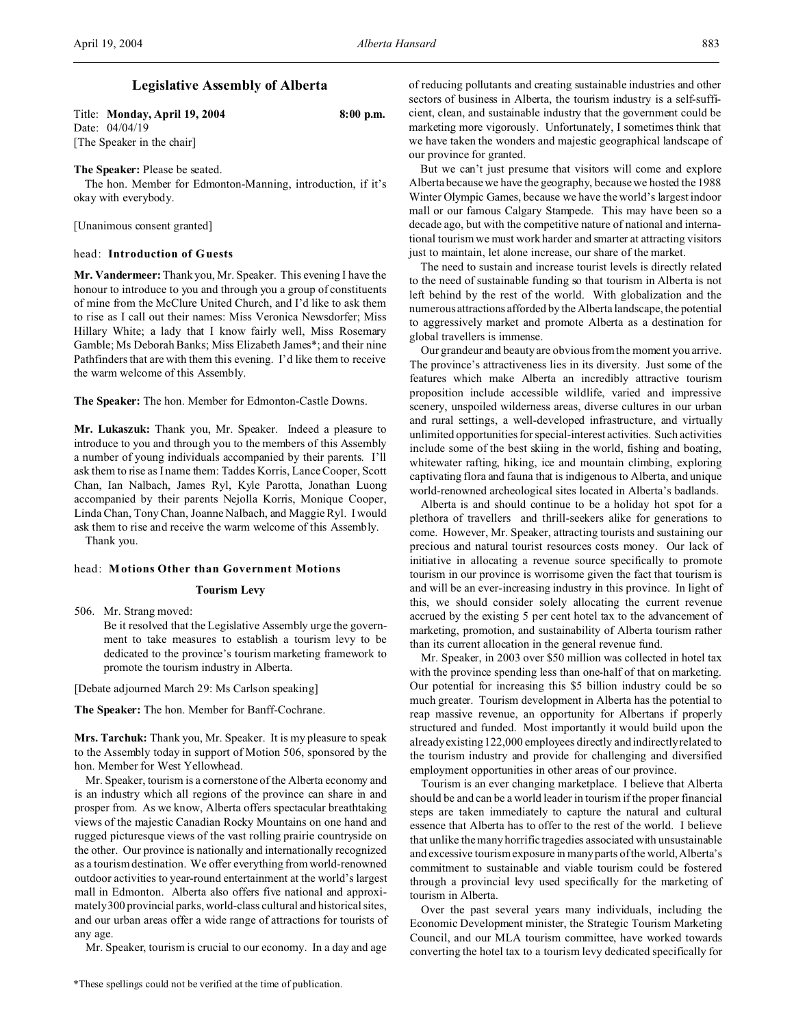# **Legislative Assembly of Alberta**

Title: **Monday, April 19, 2004 8:00 p.m.** Date: 04/04/19 [The Speaker in the chair]

## **The Speaker:** Please be seated.

The hon. Member for Edmonton-Manning, introduction, if it's okay with everybody.

[Unanimous consent granted]

## head: **Introduction of Guests**

**Mr. Vandermeer:** Thank you, Mr. Speaker. This evening I have the honour to introduce to you and through you a group of constituents of mine from the McClure United Church, and I'd like to ask them to rise as I call out their names: Miss Veronica Newsdorfer; Miss Hillary White; a lady that I know fairly well, Miss Rosemary Gamble; Ms Deborah Banks; Miss Elizabeth James\*; and their nine Pathfinders that are with them this evening. I'd like them to receive the warm welcome of this Assembly.

**The Speaker:** The hon. Member for Edmonton-Castle Downs.

**Mr. Lukaszuk:** Thank you, Mr. Speaker. Indeed a pleasure to introduce to you and through you to the members of this Assembly a number of young individuals accompanied by their parents. I'll ask them to rise as I name them: Taddes Korris, Lance Cooper, Scott Chan, Ian Nalbach, James Ryl, Kyle Parotta, Jonathan Luong accompanied by their parents Nejolla Korris, Monique Cooper, Linda Chan, Tony Chan, Joanne Nalbach, and Maggie Ryl. I would ask them to rise and receive the warm welcome of this Assembly.

Thank you.

# head: **Motions Other than Government Motions**

#### **Tourism Levy**

506. Mr. Strang moved:

Be it resolved that the Legislative Assembly urge the government to take measures to establish a tourism levy to be dedicated to the province's tourism marketing framework to promote the tourism industry in Alberta.

[Debate adjourned March 29: Ms Carlson speaking]

**The Speaker:** The hon. Member for Banff-Cochrane.

**Mrs. Tarchuk:** Thank you, Mr. Speaker. It is my pleasure to speak to the Assembly today in support of Motion 506, sponsored by the hon. Member for West Yellowhead.

Mr. Speaker, tourism is a cornerstone of the Alberta economy and is an industry which all regions of the province can share in and prosper from. As we know, Alberta offers spectacular breathtaking views of the majestic Canadian Rocky Mountains on one hand and rugged picturesque views of the vast rolling prairie countryside on the other. Our province is nationally and internationally recognized as a tourism destination. We offer everything from world-renowned outdoor activities to year-round entertainment at the world's largest mall in Edmonton. Alberta also offers five national and approximately 300 provincial parks, world-class cultural and historical sites, and our urban areas offer a wide range of attractions for tourists of any age.

Mr. Speaker, tourism is crucial to our economy. In a day and age

of reducing pollutants and creating sustainable industries and other sectors of business in Alberta, the tourism industry is a self-sufficient, clean, and sustainable industry that the government could be marketing more vigorously. Unfortunately, I sometimes think that we have taken the wonders and majestic geographical landscape of our province for granted.

But we can't just presume that visitors will come and explore Alberta because we have the geography, because we hosted the 1988 Winter Olympic Games, because we have the world's largest indoor mall or our famous Calgary Stampede. This may have been so a decade ago, but with the competitive nature of national and international tourism we must work harder and smarter at attracting visitors just to maintain, let alone increase, our share of the market.

The need to sustain and increase tourist levels is directly related to the need of sustainable funding so that tourism in Alberta is not left behind by the rest of the world. With globalization and the numerous attractions afforded by the Alberta landscape, the potential to aggressively market and promote Alberta as a destination for global travellers is immense.

Our grandeur and beauty are obvious from the moment you arrive. The province's attractiveness lies in its diversity. Just some of the features which make Alberta an incredibly attractive tourism proposition include accessible wildlife, varied and impressive scenery, unspoiled wilderness areas, diverse cultures in our urban and rural settings, a well-developed infrastructure, and virtually unlimited opportunities for special-interest activities. Such activities include some of the best skiing in the world, fishing and boating, whitewater rafting, hiking, ice and mountain climbing, exploring captivating flora and fauna that is indigenous to Alberta, and unique world-renowned archeological sites located in Alberta's badlands.

Alberta is and should continue to be a holiday hot spot for a plethora of travellers and thrill-seekers alike for generations to come. However, Mr. Speaker, attracting tourists and sustaining our precious and natural tourist resources costs money. Our lack of initiative in allocating a revenue source specifically to promote tourism in our province is worrisome given the fact that tourism is and will be an ever-increasing industry in this province. In light of this, we should consider solely allocating the current revenue accrued by the existing 5 per cent hotel tax to the advancement of marketing, promotion, and sustainability of Alberta tourism rather than its current allocation in the general revenue fund.

Mr. Speaker, in 2003 over \$50 million was collected in hotel tax with the province spending less than one-half of that on marketing. Our potential for increasing this \$5 billion industry could be so much greater. Tourism development in Alberta has the potential to reap massive revenue, an opportunity for Albertans if properly structured and funded. Most importantly it would build upon the already existing 122,000 employees directly and indirectly related to the tourism industry and provide for challenging and diversified employment opportunities in other areas of our province.

Tourism is an ever changing marketplace. I believe that Alberta should be and can be a world leader in tourism if the proper financial steps are taken immediately to capture the natural and cultural essence that Alberta has to offer to the rest of the world. I believe that unlike the many horrific tragedies associated with unsustainable and excessive tourism exposure in many parts of the world, Alberta's commitment to sustainable and viable tourism could be fostered through a provincial levy used specifically for the marketing of tourism in Alberta.

Over the past several years many individuals, including the Economic Development minister, the Strategic Tourism Marketing Council, and our MLA tourism committee, have worked towards converting the hotel tax to a tourism levy dedicated specifically for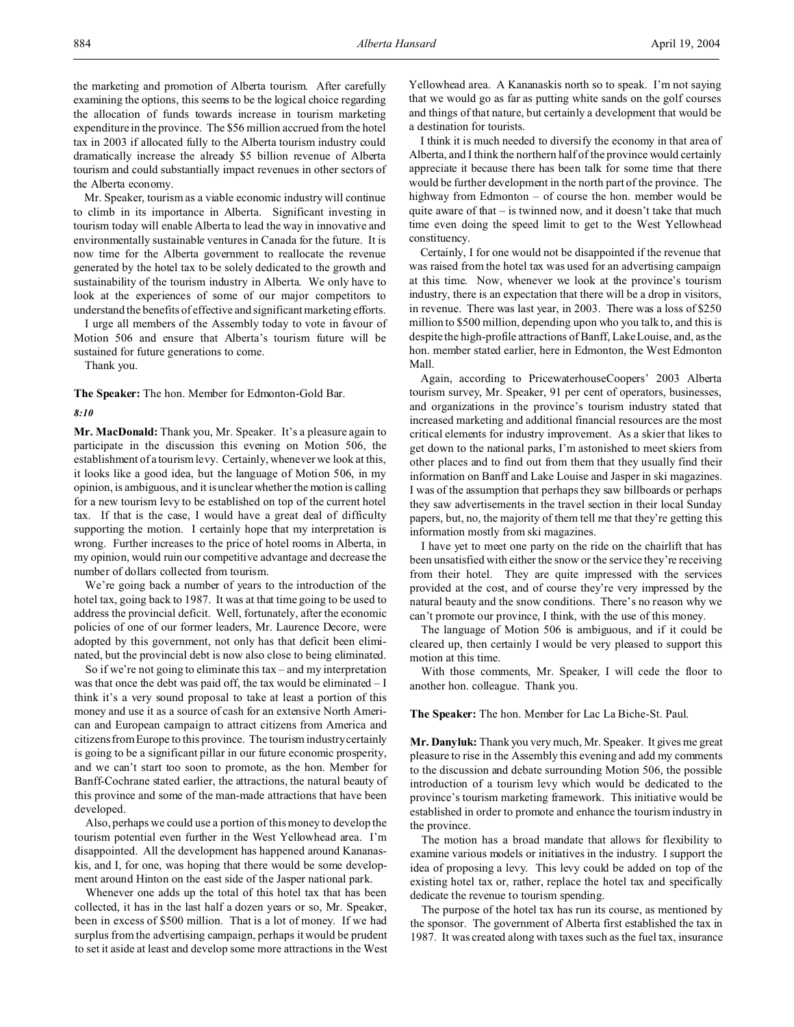the marketing and promotion of Alberta tourism. After carefully examining the options, this seems to be the logical choice regarding the allocation of funds towards increase in tourism marketing expenditure in the province. The \$56 million accrued from the hotel tax in 2003 if allocated fully to the Alberta tourism industry could dramatically increase the already \$5 billion revenue of Alberta tourism and could substantially impact revenues in other sectors of the Alberta economy.

Mr. Speaker, tourism as a viable economic industry will continue to climb in its importance in Alberta. Significant investing in tourism today will enable Alberta to lead the way in innovative and environmentally sustainable ventures in Canada for the future. It is now time for the Alberta government to reallocate the revenue generated by the hotel tax to be solely dedicated to the growth and sustainability of the tourism industry in Alberta. We only have to look at the experiences of some of our major competitors to understand the benefits of effective and significant marketing efforts.

I urge all members of the Assembly today to vote in favour of Motion 506 and ensure that Alberta's tourism future will be sustained for future generations to come.

Thank you.

**The Speaker:** The hon. Member for Edmonton-Gold Bar.

*8:10*

**Mr. MacDonald:** Thank you, Mr. Speaker. It's a pleasure again to participate in the discussion this evening on Motion 506, the establishment of a tourism levy. Certainly, whenever we look at this, it looks like a good idea, but the language of Motion 506, in my opinion, is ambiguous, and it is unclear whether the motion is calling for a new tourism levy to be established on top of the current hotel tax. If that is the case, I would have a great deal of difficulty supporting the motion. I certainly hope that my interpretation is wrong. Further increases to the price of hotel rooms in Alberta, in my opinion, would ruin our competitive advantage and decrease the number of dollars collected from tourism.

We're going back a number of years to the introduction of the hotel tax, going back to 1987. It was at that time going to be used to address the provincial deficit. Well, fortunately, after the economic policies of one of our former leaders, Mr. Laurence Decore, were adopted by this government, not only has that deficit been eliminated, but the provincial debt is now also close to being eliminated.

So if we're not going to eliminate this tax – and my interpretation was that once the debt was paid off, the tax would be eliminated – I think it's a very sound proposal to take at least a portion of this money and use it as a source of cash for an extensive North American and European campaign to attract citizens from America and citizens from Europe to this province. The tourism industry certainly is going to be a significant pillar in our future economic prosperity, and we can't start too soon to promote, as the hon. Member for Banff-Cochrane stated earlier, the attractions, the natural beauty of this province and some of the man-made attractions that have been developed.

Also, perhaps we could use a portion of this money to develop the tourism potential even further in the West Yellowhead area. I'm disappointed. All the development has happened around Kananaskis, and I, for one, was hoping that there would be some development around Hinton on the east side of the Jasper national park.

Whenever one adds up the total of this hotel tax that has been collected, it has in the last half a dozen years or so, Mr. Speaker, been in excess of \$500 million. That is a lot of money. If we had surplus from the advertising campaign, perhaps it would be prudent to set it aside at least and develop some more attractions in the West Yellowhead area. A Kananaskis north so to speak. I'm not saying that we would go as far as putting white sands on the golf courses and things of that nature, but certainly a development that would be a destination for tourists.

I think it is much needed to diversify the economy in that area of Alberta, and I think the northern half of the province would certainly appreciate it because there has been talk for some time that there would be further development in the north part of the province. The highway from Edmonton – of course the hon. member would be quite aware of that – is twinned now, and it doesn't take that much time even doing the speed limit to get to the West Yellowhead constituency.

Certainly, I for one would not be disappointed if the revenue that was raised from the hotel tax was used for an advertising campaign at this time. Now, whenever we look at the province's tourism industry, there is an expectation that there will be a drop in visitors, in revenue. There was last year, in 2003. There was a loss of \$250 million to \$500 million, depending upon who you talk to, and this is despite the high-profile attractions of Banff, Lake Louise, and, as the hon. member stated earlier, here in Edmonton, the West Edmonton Mall.

Again, according to PricewaterhouseCoopers' 2003 Alberta tourism survey, Mr. Speaker, 91 per cent of operators, businesses, and organizations in the province's tourism industry stated that increased marketing and additional financial resources are the most critical elements for industry improvement. As a skier that likes to get down to the national parks, I'm astonished to meet skiers from other places and to find out from them that they usually find their information on Banff and Lake Louise and Jasper in ski magazines. I was of the assumption that perhaps they saw billboards or perhaps they saw advertisements in the travel section in their local Sunday papers, but, no, the majority of them tell me that they're getting this information mostly from ski magazines.

I have yet to meet one party on the ride on the chairlift that has been unsatisfied with either the snow or the service they're receiving from their hotel. They are quite impressed with the services provided at the cost, and of course they're very impressed by the natural beauty and the snow conditions. There's no reason why we can't promote our province, I think, with the use of this money.

The language of Motion 506 is ambiguous, and if it could be cleared up, then certainly I would be very pleased to support this motion at this time.

With those comments, Mr. Speaker, I will cede the floor to another hon. colleague. Thank you.

### **The Speaker:** The hon. Member for Lac La Biche-St. Paul.

**Mr. Danyluk:** Thank you very much, Mr. Speaker. It gives me great pleasure to rise in the Assembly this evening and add my comments to the discussion and debate surrounding Motion 506, the possible introduction of a tourism levy which would be dedicated to the province's tourism marketing framework. This initiative would be established in order to promote and enhance the tourism industry in the province.

The motion has a broad mandate that allows for flexibility to examine various models or initiatives in the industry. I support the idea of proposing a levy. This levy could be added on top of the existing hotel tax or, rather, replace the hotel tax and specifically dedicate the revenue to tourism spending.

The purpose of the hotel tax has run its course, as mentioned by the sponsor. The government of Alberta first established the tax in 1987. It was created along with taxes such as the fuel tax, insurance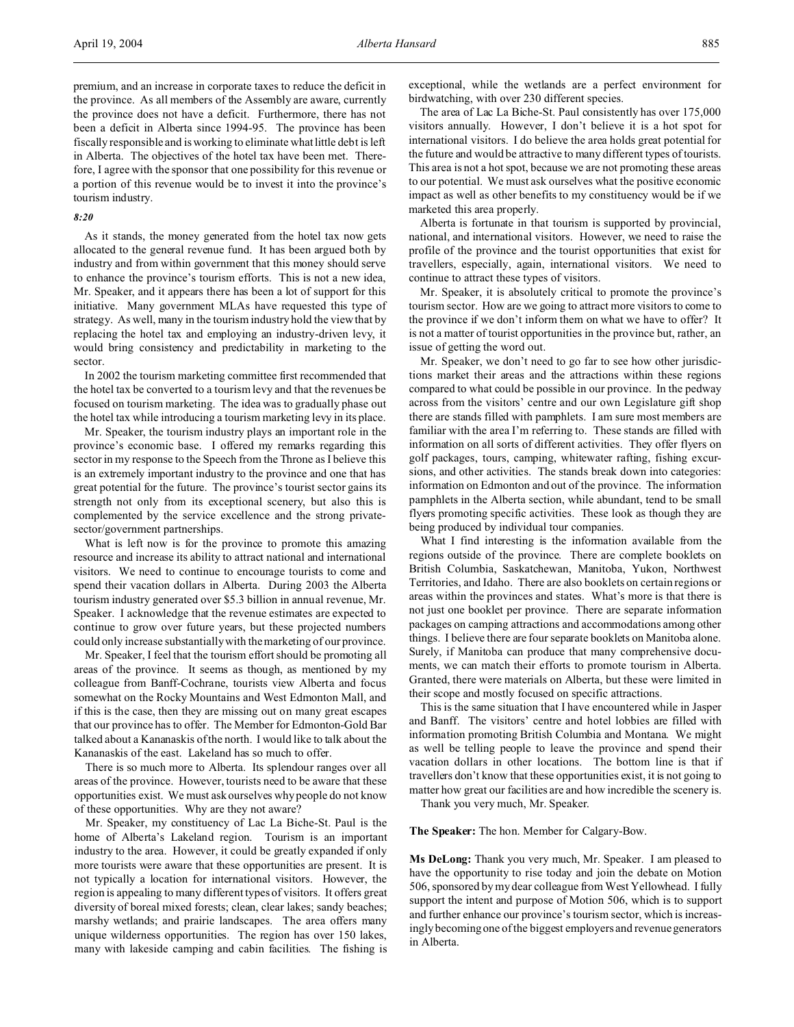premium, and an increase in corporate taxes to reduce the deficit in the province. As all members of the Assembly are aware, currently the province does not have a deficit. Furthermore, there has not been a deficit in Alberta since 1994-95. The province has been fiscally responsible and is working to eliminate what little debt is left in Alberta. The objectives of the hotel tax have been met. Therefore, I agree with the sponsor that one possibility for this revenue or a portion of this revenue would be to invest it into the province's tourism industry.

### *8:20*

As it stands, the money generated from the hotel tax now gets allocated to the general revenue fund. It has been argued both by industry and from within government that this money should serve to enhance the province's tourism efforts. This is not a new idea, Mr. Speaker, and it appears there has been a lot of support for this initiative. Many government MLAs have requested this type of strategy. As well, many in the tourism industry hold the view that by replacing the hotel tax and employing an industry-driven levy, it would bring consistency and predictability in marketing to the sector.

In 2002 the tourism marketing committee first recommended that the hotel tax be converted to a tourism levy and that the revenues be focused on tourism marketing. The idea was to gradually phase out the hotel tax while introducing a tourism marketing levy in its place.

Mr. Speaker, the tourism industry plays an important role in the province's economic base. I offered my remarks regarding this sector in my response to the Speech from the Throne as I believe this is an extremely important industry to the province and one that has great potential for the future. The province's tourist sector gains its strength not only from its exceptional scenery, but also this is complemented by the service excellence and the strong privatesector/government partnerships.

What is left now is for the province to promote this amazing resource and increase its ability to attract national and international visitors. We need to continue to encourage tourists to come and spend their vacation dollars in Alberta. During 2003 the Alberta tourism industry generated over \$5.3 billion in annual revenue, Mr. Speaker. I acknowledge that the revenue estimates are expected to continue to grow over future years, but these projected numbers could only increase substantially with the marketing of our province.

Mr. Speaker, I feel that the tourism effort should be promoting all areas of the province. It seems as though, as mentioned by my colleague from Banff-Cochrane, tourists view Alberta and focus somewhat on the Rocky Mountains and West Edmonton Mall, and if this is the case, then they are missing out on many great escapes that our province has to offer. The Member for Edmonton-Gold Bar talked about a Kananaskis of the north. I would like to talk about the Kananaskis of the east. Lakeland has so much to offer.

There is so much more to Alberta. Its splendour ranges over all areas of the province. However, tourists need to be aware that these opportunities exist. We must ask ourselves why people do not know of these opportunities. Why are they not aware?

Mr. Speaker, my constituency of Lac La Biche-St. Paul is the home of Alberta's Lakeland region. Tourism is an important industry to the area. However, it could be greatly expanded if only more tourists were aware that these opportunities are present. It is not typically a location for international visitors. However, the region is appealing to many different types of visitors. It offers great diversity of boreal mixed forests; clean, clear lakes; sandy beaches; marshy wetlands; and prairie landscapes. The area offers many unique wilderness opportunities. The region has over 150 lakes, many with lakeside camping and cabin facilities. The fishing is

exceptional, while the wetlands are a perfect environment for birdwatching, with over 230 different species.

The area of Lac La Biche-St. Paul consistently has over 175,000 visitors annually. However, I don't believe it is a hot spot for international visitors. I do believe the area holds great potential for the future and would be attractive to many different types of tourists. This area is not a hot spot, because we are not promoting these areas to our potential. We must ask ourselves what the positive economic impact as well as other benefits to my constituency would be if we marketed this area properly.

Alberta is fortunate in that tourism is supported by provincial, national, and international visitors. However, we need to raise the profile of the province and the tourist opportunities that exist for travellers, especially, again, international visitors. We need to continue to attract these types of visitors.

Mr. Speaker, it is absolutely critical to promote the province's tourism sector. How are we going to attract more visitors to come to the province if we don't inform them on what we have to offer? It is not a matter of tourist opportunities in the province but, rather, an issue of getting the word out.

Mr. Speaker, we don't need to go far to see how other jurisdictions market their areas and the attractions within these regions compared to what could be possible in our province. In the pedway across from the visitors' centre and our own Legislature gift shop there are stands filled with pamphlets. I am sure most members are familiar with the area I'm referring to. These stands are filled with information on all sorts of different activities. They offer flyers on golf packages, tours, camping, whitewater rafting, fishing excursions, and other activities. The stands break down into categories: information on Edmonton and out of the province. The information pamphlets in the Alberta section, while abundant, tend to be small flyers promoting specific activities. These look as though they are being produced by individual tour companies.

What I find interesting is the information available from the regions outside of the province. There are complete booklets on British Columbia, Saskatchewan, Manitoba, Yukon, Northwest Territories, and Idaho. There are also booklets on certain regions or areas within the provinces and states. What's more is that there is not just one booklet per province. There are separate information packages on camping attractions and accommodations among other things. I believe there are four separate booklets on Manitoba alone. Surely, if Manitoba can produce that many comprehensive documents, we can match their efforts to promote tourism in Alberta. Granted, there were materials on Alberta, but these were limited in their scope and mostly focused on specific attractions.

This is the same situation that I have encountered while in Jasper and Banff. The visitors' centre and hotel lobbies are filled with information promoting British Columbia and Montana. We might as well be telling people to leave the province and spend their vacation dollars in other locations. The bottom line is that if travellers don't know that these opportunities exist, it is not going to matter how great our facilities are and how incredible the scenery is.

Thank you very much, Mr. Speaker.

# **The Speaker:** The hon. Member for Calgary-Bow.

**Ms DeLong:** Thank you very much, Mr. Speaker. I am pleased to have the opportunity to rise today and join the debate on Motion 506, sponsored by my dear colleague from West Yellowhead. I fully support the intent and purpose of Motion 506, which is to support and further enhance our province's tourism sector, which is increasingly becoming one of the biggest employers and revenue generators in Alberta.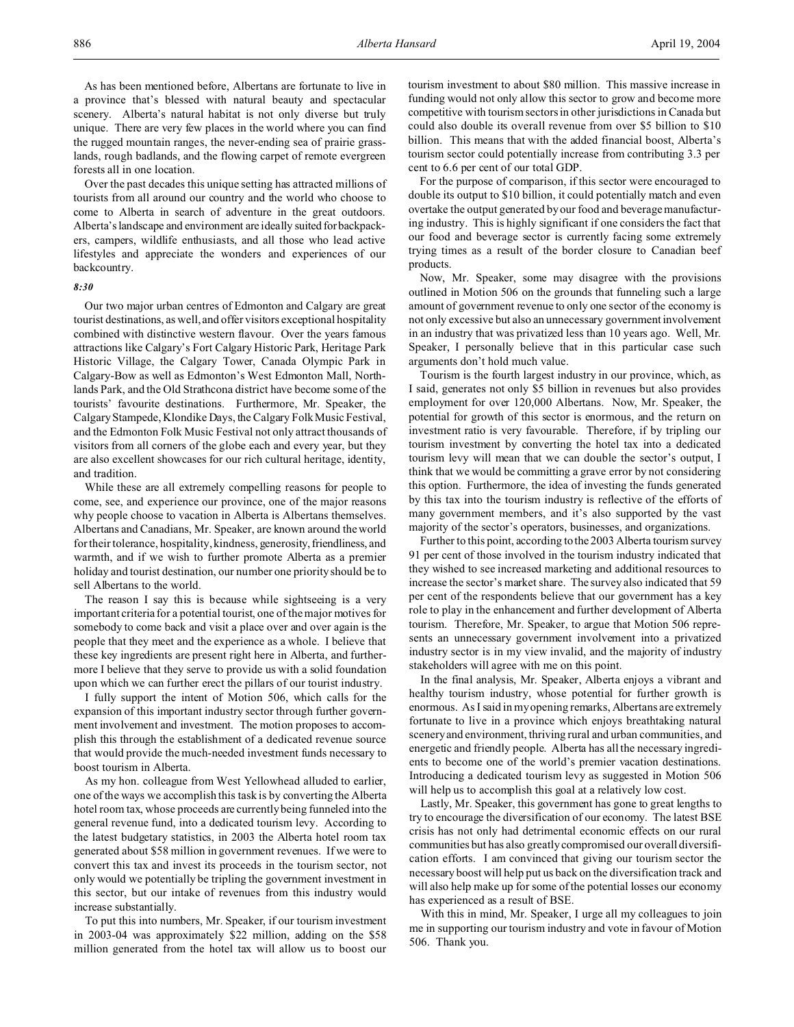As has been mentioned before, Albertans are fortunate to live in a province that's blessed with natural beauty and spectacular scenery. Alberta's natural habitat is not only diverse but truly unique. There are very few places in the world where you can find the rugged mountain ranges, the never-ending sea of prairie grasslands, rough badlands, and the flowing carpet of remote evergreen forests all in one location.

Over the past decades this unique setting has attracted millions of tourists from all around our country and the world who choose to come to Alberta in search of adventure in the great outdoors. Alberta's landscape and environment are ideally suited forbackpackers, campers, wildlife enthusiasts, and all those who lead active lifestyles and appreciate the wonders and experiences of our backcountry.

#### *8:30*

Our two major urban centres of Edmonton and Calgary are great tourist destinations, as well, and offer visitors exceptional hospitality combined with distinctive western flavour. Over the years famous attractions like Calgary's Fort Calgary Historic Park, Heritage Park Historic Village, the Calgary Tower, Canada Olympic Park in Calgary-Bow as well as Edmonton's West Edmonton Mall, Northlands Park, and the Old Strathcona district have become some of the tourists' favourite destinations. Furthermore, Mr. Speaker, the Calgary Stampede, Klondike Days, the Calgary Folk Music Festival, and the Edmonton Folk Music Festival not only attract thousands of visitors from all corners of the globe each and every year, but they are also excellent showcases for our rich cultural heritage, identity, and tradition.

While these are all extremely compelling reasons for people to come, see, and experience our province, one of the major reasons why people choose to vacation in Alberta is Albertans themselves. Albertans and Canadians, Mr. Speaker, are known around the world for their tolerance, hospitality, kindness, generosity, friendliness, and warmth, and if we wish to further promote Alberta as a premier holiday and tourist destination, our number one priority should be to sell Albertans to the world.

The reason I say this is because while sightseeing is a very important criteria for a potential tourist, one of the major motives for somebody to come back and visit a place over and over again is the people that they meet and the experience as a whole. I believe that these key ingredients are present right here in Alberta, and furthermore I believe that they serve to provide us with a solid foundation upon which we can further erect the pillars of our tourist industry.

I fully support the intent of Motion 506, which calls for the expansion of this important industry sector through further government involvement and investment. The motion proposes to accomplish this through the establishment of a dedicated revenue source that would provide the much-needed investment funds necessary to boost tourism in Alberta.

As my hon. colleague from West Yellowhead alluded to earlier, one of the ways we accomplish this task is by converting the Alberta hotel room tax, whose proceeds are currently being funneled into the general revenue fund, into a dedicated tourism levy. According to the latest budgetary statistics, in 2003 the Alberta hotel room tax generated about \$58 million in government revenues. If we were to convert this tax and invest its proceeds in the tourism sector, not only would we potentially be tripling the government investment in this sector, but our intake of revenues from this industry would increase substantially.

To put this into numbers, Mr. Speaker, if our tourism investment in 2003-04 was approximately \$22 million, adding on the \$58 million generated from the hotel tax will allow us to boost our

tourism investment to about \$80 million. This massive increase in funding would not only allow this sector to grow and become more competitive with tourism sectors in other jurisdictions in Canada but could also double its overall revenue from over \$5 billion to \$10 billion. This means that with the added financial boost, Alberta's tourism sector could potentially increase from contributing 3.3 per cent to 6.6 per cent of our total GDP.

For the purpose of comparison, if this sector were encouraged to double its output to \$10 billion, it could potentially match and even overtake the output generated by our food and beverage manufacturing industry. This is highly significant if one considers the fact that our food and beverage sector is currently facing some extremely trying times as a result of the border closure to Canadian beef products.

Now, Mr. Speaker, some may disagree with the provisions outlined in Motion 506 on the grounds that funneling such a large amount of government revenue to only one sector of the economy is not only excessive but also an unnecessary government involvement in an industry that was privatized less than 10 years ago. Well, Mr. Speaker, I personally believe that in this particular case such arguments don't hold much value.

Tourism is the fourth largest industry in our province, which, as I said, generates not only \$5 billion in revenues but also provides employment for over 120,000 Albertans. Now, Mr. Speaker, the potential for growth of this sector is enormous, and the return on investment ratio is very favourable. Therefore, if by tripling our tourism investment by converting the hotel tax into a dedicated tourism levy will mean that we can double the sector's output, I think that we would be committing a grave error by not considering this option. Furthermore, the idea of investing the funds generated by this tax into the tourism industry is reflective of the efforts of many government members, and it's also supported by the vast majority of the sector's operators, businesses, and organizations.

Further to this point, according to the 2003 Alberta tourism survey 91 per cent of those involved in the tourism industry indicated that they wished to see increased marketing and additional resources to increase the sector's market share. The survey also indicated that 59 per cent of the respondents believe that our government has a key role to play in the enhancement and further development of Alberta tourism. Therefore, Mr. Speaker, to argue that Motion 506 represents an unnecessary government involvement into a privatized industry sector is in my view invalid, and the majority of industry stakeholders will agree with me on this point.

In the final analysis, Mr. Speaker, Alberta enjoys a vibrant and healthy tourism industry, whose potential for further growth is enormous. As I said in my opening remarks, Albertans are extremely fortunate to live in a province which enjoys breathtaking natural scenery and environment, thriving rural and urban communities, and energetic and friendly people. Alberta has all the necessary ingredients to become one of the world's premier vacation destinations. Introducing a dedicated tourism levy as suggested in Motion 506 will help us to accomplish this goal at a relatively low cost.

Lastly, Mr. Speaker, this government has gone to great lengths to try to encourage the diversification of our economy. The latest BSE crisis has not only had detrimental economic effects on our rural communities but has also greatly compromised our overall diversification efforts. I am convinced that giving our tourism sector the necessary boost will help put us back on the diversification track and will also help make up for some of the potential losses our economy has experienced as a result of BSE.

With this in mind, Mr. Speaker, I urge all my colleagues to join me in supporting our tourism industry and vote in favour of Motion 506. Thank you.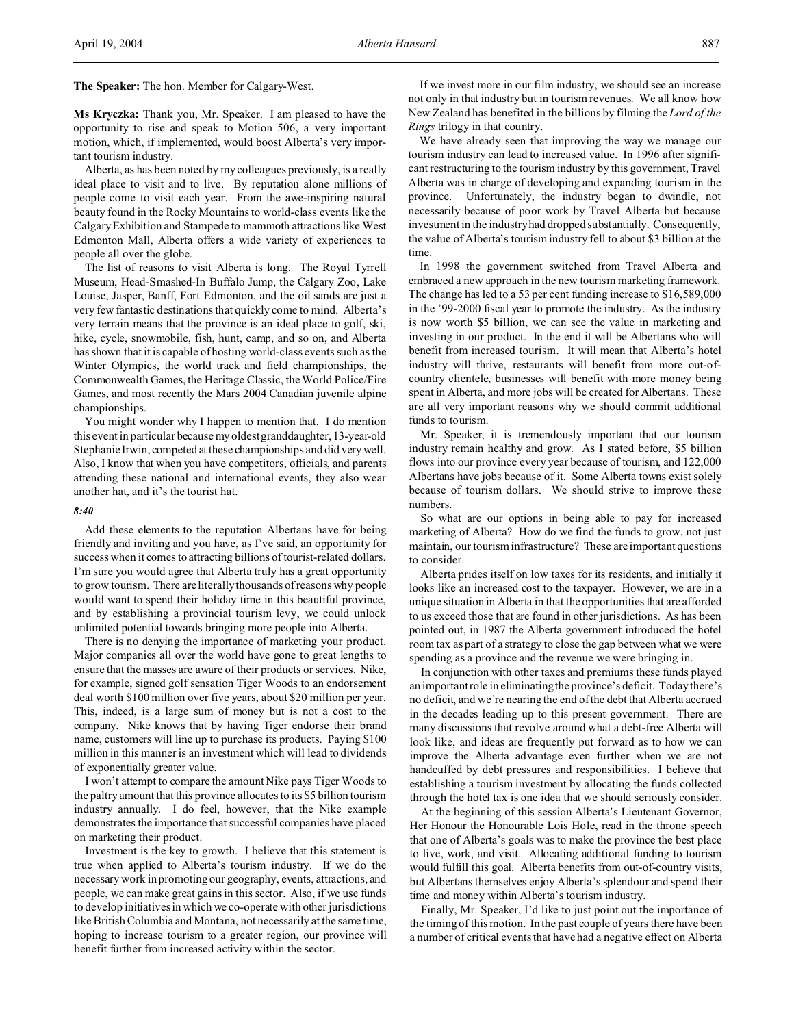**The Speaker:** The hon. Member for Calgary-West.

**Ms Kryczka:** Thank you, Mr. Speaker. I am pleased to have the opportunity to rise and speak to Motion 506, a very important motion, which, if implemented, would boost Alberta's very important tourism industry.

Alberta, as has been noted by my colleagues previously, is a really ideal place to visit and to live. By reputation alone millions of people come to visit each year. From the awe-inspiring natural beauty found in the Rocky Mountains to world-class events like the Calgary Exhibition and Stampede to mammoth attractions like West Edmonton Mall, Alberta offers a wide variety of experiences to people all over the globe.

The list of reasons to visit Alberta is long. The Royal Tyrrell Museum, Head-Smashed-In Buffalo Jump, the Calgary Zoo, Lake Louise, Jasper, Banff, Fort Edmonton, and the oil sands are just a very few fantastic destinations that quickly come to mind. Alberta's very terrain means that the province is an ideal place to golf, ski, hike, cycle, snowmobile, fish, hunt, camp, and so on, and Alberta has shown that it is capable of hosting world-class events such as the Winter Olympics, the world track and field championships, the Commonwealth Games, the Heritage Classic, the World Police/Fire Games, and most recently the Mars 2004 Canadian juvenile alpine championships.

You might wonder why I happen to mention that. I do mention this event in particular because my oldest granddaughter, 13-year-old Stephanie Irwin, competed at these championships and did very well. Also, I know that when you have competitors, officials, and parents attending these national and international events, they also wear another hat, and it's the tourist hat.

# *8:40*

Add these elements to the reputation Albertans have for being friendly and inviting and you have, as I've said, an opportunity for success when it comes to attracting billions of tourist-related dollars. I'm sure you would agree that Alberta truly has a great opportunity to grow tourism. There are literally thousands of reasons why people would want to spend their holiday time in this beautiful province, and by establishing a provincial tourism levy, we could unlock unlimited potential towards bringing more people into Alberta.

There is no denying the importance of marketing your product. Major companies all over the world have gone to great lengths to ensure that the masses are aware of their products or services. Nike, for example, signed golf sensation Tiger Woods to an endorsement deal worth \$100 million over five years, about \$20 million per year. This, indeed, is a large sum of money but is not a cost to the company. Nike knows that by having Tiger endorse their brand name, customers will line up to purchase its products. Paying \$100 million in this manner is an investment which will lead to dividends of exponentially greater value.

I won't attempt to compare the amount Nike pays Tiger Woods to the paltry amount that this province allocates to its \$5 billion tourism industry annually. I do feel, however, that the Nike example demonstrates the importance that successful companies have placed on marketing their product.

Investment is the key to growth. I believe that this statement is true when applied to Alberta's tourism industry. If we do the necessary work in promoting our geography, events, attractions, and people, we can make great gains in this sector. Also, if we use funds to develop initiatives in which we co-operate with other jurisdictions like British Columbia and Montana, not necessarily at the same time, hoping to increase tourism to a greater region, our province will benefit further from increased activity within the sector.

If we invest more in our film industry, we should see an increase not only in that industry but in tourism revenues. We all know how New Zealand has benefited in the billions by filming the *Lord of the Rings* trilogy in that country.

We have already seen that improving the way we manage our tourism industry can lead to increased value. In 1996 after significant restructuring to the tourism industry by this government, Travel Alberta was in charge of developing and expanding tourism in the province. Unfortunately, the industry began to dwindle, not necessarily because of poor work by Travel Alberta but because investment in the industry had dropped substantially. Consequently, the value of Alberta's tourism industry fell to about \$3 billion at the time.

In 1998 the government switched from Travel Alberta and embraced a new approach in the new tourism marketing framework. The change has led to a 53 per cent funding increase to \$16,589,000 in the '99-2000 fiscal year to promote the industry. As the industry is now worth \$5 billion, we can see the value in marketing and investing in our product. In the end it will be Albertans who will benefit from increased tourism. It will mean that Alberta's hotel industry will thrive, restaurants will benefit from more out-ofcountry clientele, businesses will benefit with more money being spent in Alberta, and more jobs will be created for Albertans. These are all very important reasons why we should commit additional funds to tourism.

Mr. Speaker, it is tremendously important that our tourism industry remain healthy and grow. As I stated before, \$5 billion flows into our province every year because of tourism, and 122,000 Albertans have jobs because of it. Some Alberta towns exist solely because of tourism dollars. We should strive to improve these numbers.

So what are our options in being able to pay for increased marketing of Alberta? How do we find the funds to grow, not just maintain, our tourism infrastructure? These are important questions to consider.

Alberta prides itself on low taxes for its residents, and initially it looks like an increased cost to the taxpayer. However, we are in a unique situation in Alberta in that the opportunities that are afforded to us exceed those that are found in other jurisdictions. As has been pointed out, in 1987 the Alberta government introduced the hotel room tax as part of a strategy to close the gap between what we were spending as a province and the revenue we were bringing in.

In conjunction with other taxes and premiums these funds played an important role in eliminating the province's deficit. Today there's no deficit, and we're nearing the end of the debt that Alberta accrued in the decades leading up to this present government. There are many discussions that revolve around what a debt-free Alberta will look like, and ideas are frequently put forward as to how we can improve the Alberta advantage even further when we are not handcuffed by debt pressures and responsibilities. I believe that establishing a tourism investment by allocating the funds collected through the hotel tax is one idea that we should seriously consider.

At the beginning of this session Alberta's Lieutenant Governor, Her Honour the Honourable Lois Hole, read in the throne speech that one of Alberta's goals was to make the province the best place to live, work, and visit. Allocating additional funding to tourism would fulfill this goal. Alberta benefits from out-of-country visits, but Albertans themselves enjoy Alberta's splendour and spend their time and money within Alberta's tourism industry.

Finally, Mr. Speaker, I'd like to just point out the importance of the timing of this motion. In the past couple of years there have been a number of critical events that have had a negative effect on Alberta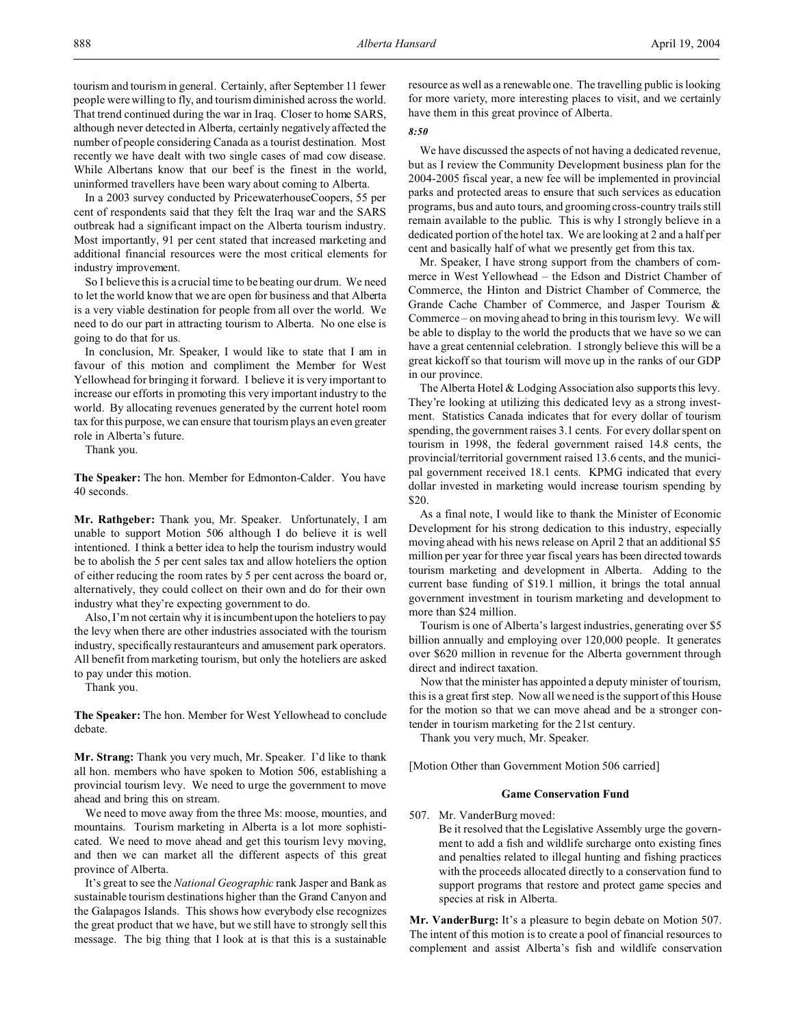In a 2003 survey conducted by PricewaterhouseCoopers, 55 per cent of respondents said that they felt the Iraq war and the SARS outbreak had a significant impact on the Alberta tourism industry. Most importantly, 91 per cent stated that increased marketing and additional financial resources were the most critical elements for industry improvement.

So I believe this is a crucial time to be beating our drum. We need to let the world know that we are open for business and that Alberta is a very viable destination for people from all over the world. We need to do our part in attracting tourism to Alberta. No one else is going to do that for us.

In conclusion, Mr. Speaker, I would like to state that I am in favour of this motion and compliment the Member for West Yellowhead for bringing it forward. I believe it is very important to increase our efforts in promoting this very important industry to the world. By allocating revenues generated by the current hotel room tax for this purpose, we can ensure that tourism plays an even greater role in Alberta's future.

Thank you.

**The Speaker:** The hon. Member for Edmonton-Calder. You have 40 seconds.

**Mr. Rathgeber:** Thank you, Mr. Speaker. Unfortunately, I am unable to support Motion 506 although I do believe it is well intentioned. I think a better idea to help the tourism industry would be to abolish the 5 per cent sales tax and allow hoteliers the option of either reducing the room rates by 5 per cent across the board or, alternatively, they could collect on their own and do for their own industry what they're expecting government to do.

Also, I'm not certain why it is incumbent upon the hoteliers to pay the levy when there are other industries associated with the tourism industry, specifically restauranteurs and amusement park operators. All benefit from marketing tourism, but only the hoteliers are asked to pay under this motion.

Thank you.

**The Speaker:** The hon. Member for West Yellowhead to conclude debate.

**Mr. Strang:** Thank you very much, Mr. Speaker. I'd like to thank all hon. members who have spoken to Motion 506, establishing a provincial tourism levy. We need to urge the government to move ahead and bring this on stream.

We need to move away from the three Ms: moose, mounties, and mountains. Tourism marketing in Alberta is a lot more sophisticated. We need to move ahead and get this tourism levy moving, and then we can market all the different aspects of this great province of Alberta.

It's great to see the *National Geographic* rank Jasper and Bank as sustainable tourism destinations higher than the Grand Canyon and the Galapagos Islands. This shows how everybody else recognizes the great product that we have, but we still have to strongly sell this message. The big thing that I look at is that this is a sustainable resource as well as a renewable one. The travelling public is looking for more variety, more interesting places to visit, and we certainly have them in this great province of Alberta.

### *8:50*

We have discussed the aspects of not having a dedicated revenue, but as I review the Community Development business plan for the 2004-2005 fiscal year, a new fee will be implemented in provincial parks and protected areas to ensure that such services as education programs, bus and auto tours, and grooming cross-country trails still remain available to the public. This is why I strongly believe in a dedicated portion of the hotel tax. We are looking at 2 and a half per cent and basically half of what we presently get from this tax.

Mr. Speaker, I have strong support from the chambers of commerce in West Yellowhead – the Edson and District Chamber of Commerce, the Hinton and District Chamber of Commerce, the Grande Cache Chamber of Commerce, and Jasper Tourism & Commerce – on moving ahead to bring in this tourism levy. We will be able to display to the world the products that we have so we can have a great centennial celebration. I strongly believe this will be a great kickoff so that tourism will move up in the ranks of our GDP in our province.

The Alberta Hotel & Lodging Association also supports this levy. They're looking at utilizing this dedicated levy as a strong investment. Statistics Canada indicates that for every dollar of tourism spending, the government raises 3.1 cents. For every dollar spent on tourism in 1998, the federal government raised 14.8 cents, the provincial/territorial government raised 13.6 cents, and the municipal government received 18.1 cents. KPMG indicated that every dollar invested in marketing would increase tourism spending by \$20.

As a final note, I would like to thank the Minister of Economic Development for his strong dedication to this industry, especially moving ahead with his news release on April 2 that an additional \$5 million per year for three year fiscal years has been directed towards tourism marketing and development in Alberta. Adding to the current base funding of \$19.1 million, it brings the total annual government investment in tourism marketing and development to more than \$24 million.

Tourism is one of Alberta's largest industries, generating over \$5 billion annually and employing over 120,000 people. It generates over \$620 million in revenue for the Alberta government through direct and indirect taxation.

Now that the minister has appointed a deputy minister of tourism, this is a great first step. Now all we need is the support of this House for the motion so that we can move ahead and be a stronger contender in tourism marketing for the 21st century.

Thank you very much, Mr. Speaker.

[Motion Other than Government Motion 506 carried]

## **Game Conservation Fund**

507. Mr. VanderBurg moved:

Be it resolved that the Legislative Assembly urge the government to add a fish and wildlife surcharge onto existing fines and penalties related to illegal hunting and fishing practices with the proceeds allocated directly to a conservation fund to support programs that restore and protect game species and species at risk in Alberta.

**Mr. VanderBurg:** It's a pleasure to begin debate on Motion 507. The intent of this motion is to create a pool of financial resources to complement and assist Alberta's fish and wildlife conservation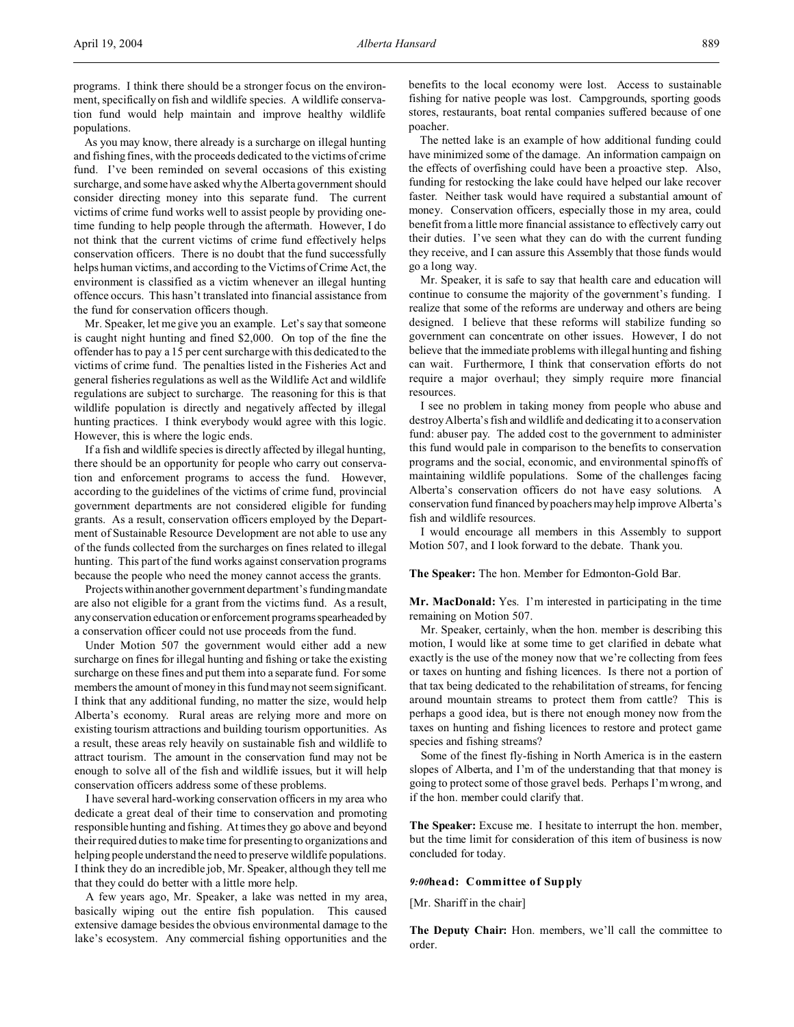programs. I think there should be a stronger focus on the environment, specifically on fish and wildlife species. A wildlife conservation fund would help maintain and improve healthy wildlife populations.

As you may know, there already is a surcharge on illegal hunting and fishing fines, with the proceeds dedicated to the victims of crime fund. I've been reminded on several occasions of this existing surcharge, and some have asked why the Alberta government should consider directing money into this separate fund. The current victims of crime fund works well to assist people by providing onetime funding to help people through the aftermath. However, I do not think that the current victims of crime fund effectively helps conservation officers. There is no doubt that the fund successfully helps human victims, and according to the Victims of Crime Act, the environment is classified as a victim whenever an illegal hunting offence occurs. This hasn't translated into financial assistance from the fund for conservation officers though.

Mr. Speaker, let me give you an example. Let's say that someone is caught night hunting and fined \$2,000. On top of the fine the offender has to pay a 15 per cent surcharge with this dedicated to the victims of crime fund. The penalties listed in the Fisheries Act and general fisheries regulations as well as the Wildlife Act and wildlife regulations are subject to surcharge. The reasoning for this is that wildlife population is directly and negatively affected by illegal hunting practices. I think everybody would agree with this logic. However, this is where the logic ends.

If a fish and wildlife species is directly affected by illegal hunting, there should be an opportunity for people who carry out conservation and enforcement programs to access the fund. However, according to the guidelines of the victims of crime fund, provincial government departments are not considered eligible for funding grants. As a result, conservation officers employed by the Department of Sustainable Resource Development are not able to use any of the funds collected from the surcharges on fines related to illegal hunting. This part of the fund works against conservation programs because the people who need the money cannot access the grants.

Projects within another government department's funding mandate are also not eligible for a grant from the victims fund. As a result, anyconservation education or enforcement programs spearheaded by a conservation officer could not use proceeds from the fund.

Under Motion 507 the government would either add a new surcharge on fines for illegal hunting and fishing or take the existing surcharge on these fines and put them into a separate fund. For some members the amount of money in this fund may not seem significant. I think that any additional funding, no matter the size, would help Alberta's economy. Rural areas are relying more and more on existing tourism attractions and building tourism opportunities. As a result, these areas rely heavily on sustainable fish and wildlife to attract tourism. The amount in the conservation fund may not be enough to solve all of the fish and wildlife issues, but it will help conservation officers address some of these problems.

I have several hard-working conservation officers in my area who dedicate a great deal of their time to conservation and promoting responsible hunting and fishing. At times they go above and beyond their required duties to make time for presenting to organizations and helping people understand the need to preserve wildlife populations. I think they do an incredible job, Mr. Speaker, although they tell me that they could do better with a little more help.

A few years ago, Mr. Speaker, a lake was netted in my area, basically wiping out the entire fish population. This caused extensive damage besides the obvious environmental damage to the lake's ecosystem. Any commercial fishing opportunities and the benefits to the local economy were lost. Access to sustainable fishing for native people was lost. Campgrounds, sporting goods stores, restaurants, boat rental companies suffered because of one poacher.

The netted lake is an example of how additional funding could have minimized some of the damage. An information campaign on the effects of overfishing could have been a proactive step. Also, funding for restocking the lake could have helped our lake recover faster. Neither task would have required a substantial amount of money. Conservation officers, especially those in my area, could benefit from a little more financial assistance to effectively carry out their duties. I've seen what they can do with the current funding they receive, and I can assure this Assembly that those funds would go a long way.

Mr. Speaker, it is safe to say that health care and education will continue to consume the majority of the government's funding. I realize that some of the reforms are underway and others are being designed. I believe that these reforms will stabilize funding so government can concentrate on other issues. However, I do not believe that the immediate problems with illegal hunting and fishing can wait. Furthermore, I think that conservation efforts do not require a major overhaul; they simply require more financial resources.

I see no problem in taking money from people who abuse and destroy Alberta's fish and wildlife and dedicating it to a conservation fund: abuser pay. The added cost to the government to administer this fund would pale in comparison to the benefits to conservation programs and the social, economic, and environmental spinoffs of maintaining wildlife populations. Some of the challenges facing Alberta's conservation officers do not have easy solutions. A conservation fund financed by poachers may help improve Alberta's fish and wildlife resources.

I would encourage all members in this Assembly to support Motion 507, and I look forward to the debate. Thank you.

**The Speaker:** The hon. Member for Edmonton-Gold Bar.

**Mr. MacDonald:** Yes. I'm interested in participating in the time remaining on Motion 507.

Mr. Speaker, certainly, when the hon. member is describing this motion, I would like at some time to get clarified in debate what exactly is the use of the money now that we're collecting from fees or taxes on hunting and fishing licences. Is there not a portion of that tax being dedicated to the rehabilitation of streams, for fencing around mountain streams to protect them from cattle? This is perhaps a good idea, but is there not enough money now from the taxes on hunting and fishing licences to restore and protect game species and fishing streams?

Some of the finest fly-fishing in North America is in the eastern slopes of Alberta, and I'm of the understanding that that money is going to protect some of those gravel beds. Perhaps I'm wrong, and if the hon. member could clarify that.

**The Speaker:** Excuse me. I hesitate to interrupt the hon. member, but the time limit for consideration of this item of business is now concluded for today.

# *9:00***head: Committee of Supply**

[Mr. Shariff in the chair]

**The Deputy Chair:** Hon. members, we'll call the committee to order.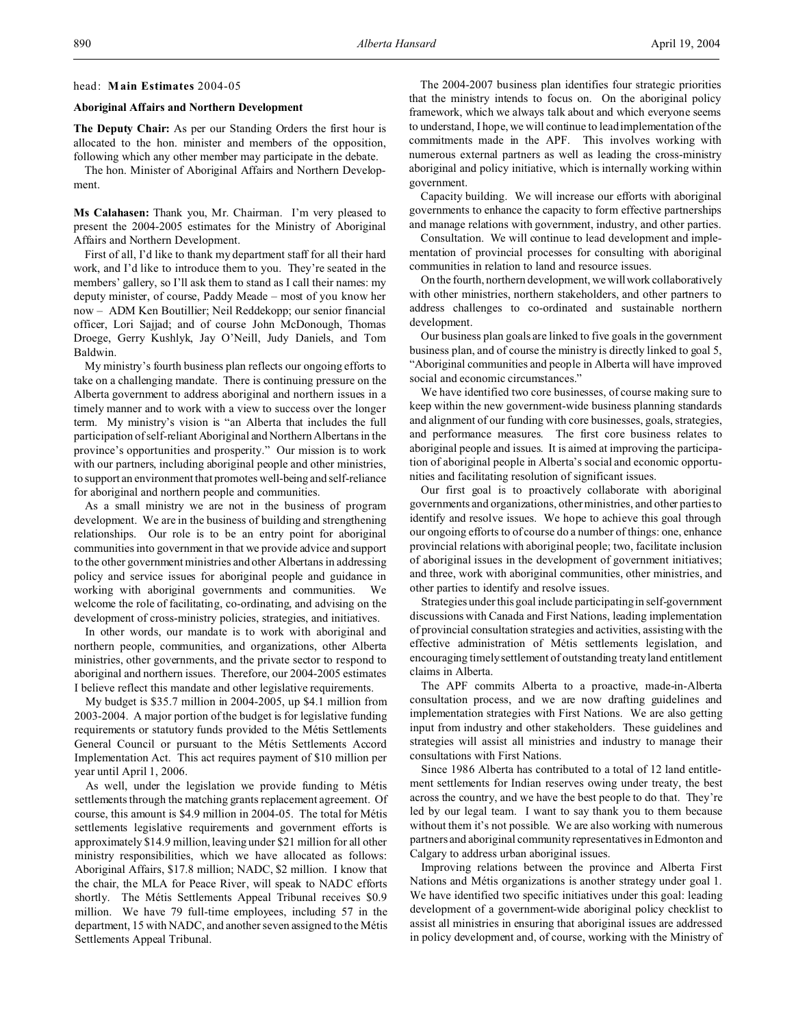### head: **Main Estimates** 2004-05

## **Aboriginal Affairs and Northern Development**

**The Deputy Chair:** As per our Standing Orders the first hour is allocated to the hon. minister and members of the opposition, following which any other member may participate in the debate.

The hon. Minister of Aboriginal Affairs and Northern Development.

**Ms Calahasen:** Thank you, Mr. Chairman. I'm very pleased to present the 2004-2005 estimates for the Ministry of Aboriginal Affairs and Northern Development.

First of all, I'd like to thank my department staff for all their hard work, and I'd like to introduce them to you. They're seated in the members' gallery, so I'll ask them to stand as I call their names: my deputy minister, of course, Paddy Meade – most of you know her now – ADM Ken Boutillier; Neil Reddekopp; our senior financial officer, Lori Sajjad; and of course John McDonough, Thomas Droege, Gerry Kushlyk, Jay O'Neill, Judy Daniels, and Tom Baldwin.

My ministry's fourth business plan reflects our ongoing efforts to take on a challenging mandate. There is continuing pressure on the Alberta government to address aboriginal and northern issues in a timely manner and to work with a view to success over the longer term. My ministry's vision is "an Alberta that includes the full participation of self-reliant Aboriginal and Northern Albertans in the province's opportunities and prosperity." Our mission is to work with our partners, including aboriginal people and other ministries, to support an environment that promotes well-being and self-reliance for aboriginal and northern people and communities.

As a small ministry we are not in the business of program development. We are in the business of building and strengthening relationships. Our role is to be an entry point for aboriginal communities into government in that we provide advice and support to the other government ministries and other Albertans in addressing policy and service issues for aboriginal people and guidance in working with aboriginal governments and communities. We welcome the role of facilitating, co-ordinating, and advising on the development of cross-ministry policies, strategies, and initiatives.

In other words, our mandate is to work with aboriginal and northern people, communities, and organizations, other Alberta ministries, other governments, and the private sector to respond to aboriginal and northern issues. Therefore, our 2004-2005 estimates I believe reflect this mandate and other legislative requirements.

My budget is \$35.7 million in 2004-2005, up \$4.1 million from 2003-2004. A major portion of the budget is for legislative funding requirements or statutory funds provided to the Métis Settlements General Council or pursuant to the Métis Settlements Accord Implementation Act. This act requires payment of \$10 million per year until April 1, 2006.

As well, under the legislation we provide funding to Métis settlements through the matching grants replacement agreement. Of course, this amount is \$4.9 million in 2004-05. The total for Métis settlements legislative requirements and government efforts is approximately \$14.9 million, leaving under \$21 million for all other ministry responsibilities, which we have allocated as follows: Aboriginal Affairs, \$17.8 million; NADC, \$2 million. I know that the chair, the MLA for Peace River, will speak to NADC efforts shortly. The Métis Settlements Appeal Tribunal receives \$0.9 million. We have 79 full-time employees, including 57 in the department, 15 with NADC, and another seven assigned to the Métis Settlements Appeal Tribunal.

The 2004-2007 business plan identifies four strategic priorities that the ministry intends to focus on. On the aboriginal policy framework, which we always talk about and which everyone seems to understand, I hope, we will continue to lead implementation of the commitments made in the APF. This involves working with numerous external partners as well as leading the cross-ministry aboriginal and policy initiative, which is internally working within government.

Capacity building. We will increase our efforts with aboriginal governments to enhance the capacity to form effective partnerships and manage relations with government, industry, and other parties.

Consultation. We will continue to lead development and implementation of provincial processes for consulting with aboriginal communities in relation to land and resource issues.

On the fourth, northern development, we willwork collaboratively with other ministries, northern stakeholders, and other partners to address challenges to co-ordinated and sustainable northern development.

Our business plan goals are linked to five goals in the government business plan, and of course the ministry is directly linked to goal 5, "Aboriginal communities and people in Alberta will have improved social and economic circumstances."

We have identified two core businesses, of course making sure to keep within the new government-wide business planning standards and alignment of our funding with core businesses, goals, strategies, and performance measures. The first core business relates to aboriginal people and issues. It is aimed at improving the participation of aboriginal people in Alberta's social and economic opportunities and facilitating resolution of significant issues.

Our first goal is to proactively collaborate with aboriginal governments and organizations, other ministries, and other parties to identify and resolve issues. We hope to achieve this goal through our ongoing efforts to of course do a number of things: one, enhance provincial relations with aboriginal people; two, facilitate inclusion of aboriginal issues in the development of government initiatives; and three, work with aboriginal communities, other ministries, and other parties to identify and resolve issues.

Strategies under this goal include participating in self-government discussions with Canada and First Nations, leading implementation of provincial consultation strategies and activities, assisting with the effective administration of Métis settlements legislation, and encouraging timely settlement of outstanding treaty land entitlement claims in Alberta.

The APF commits Alberta to a proactive, made-in-Alberta consultation process, and we are now drafting guidelines and implementation strategies with First Nations. We are also getting input from industry and other stakeholders. These guidelines and strategies will assist all ministries and industry to manage their consultations with First Nations.

Since 1986 Alberta has contributed to a total of 12 land entitlement settlements for Indian reserves owing under treaty, the best across the country, and we have the best people to do that. They're led by our legal team. I want to say thank you to them because without them it's not possible. We are also working with numerous partners and aboriginal community representatives in Edmonton and Calgary to address urban aboriginal issues.

Improving relations between the province and Alberta First Nations and Métis organizations is another strategy under goal 1. We have identified two specific initiatives under this goal: leading development of a government-wide aboriginal policy checklist to assist all ministries in ensuring that aboriginal issues are addressed in policy development and, of course, working with the Ministry of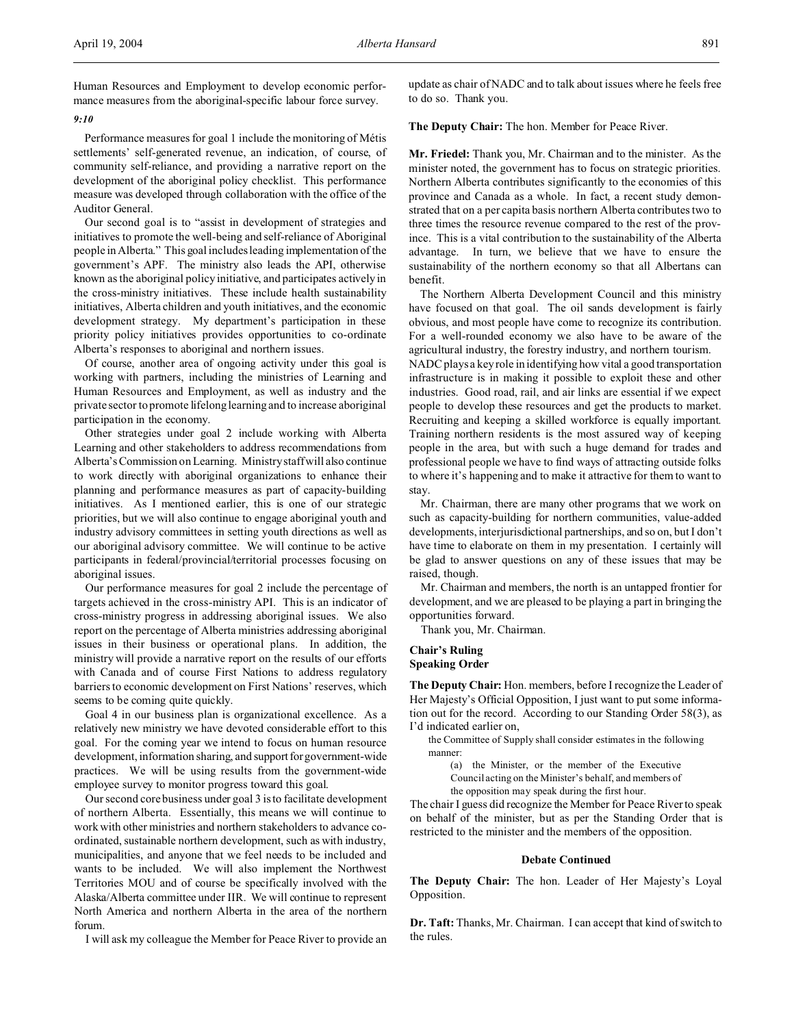## *9:10*

Performance measures for goal 1 include the monitoring of Métis settlements' self-generated revenue, an indication, of course, of community self-reliance, and providing a narrative report on the development of the aboriginal policy checklist. This performance measure was developed through collaboration with the office of the Auditor General.

Our second goal is to "assist in development of strategies and initiatives to promote the well-being and self-reliance of Aboriginal people in Alberta." This goal includes leading implementation of the government's APF. The ministry also leads the API, otherwise known as the aboriginal policy initiative, and participates actively in the cross-ministry initiatives. These include health sustainability initiatives, Alberta children and youth initiatives, and the economic development strategy. My department's participation in these priority policy initiatives provides opportunities to co-ordinate Alberta's responses to aboriginal and northern issues.

Of course, another area of ongoing activity under this goal is working with partners, including the ministries of Learning and Human Resources and Employment, as well as industry and the private sector to promote lifelong learning and to increase aboriginal participation in the economy.

Other strategies under goal 2 include working with Alberta Learning and other stakeholders to address recommendations from Alberta's Commission on Learning. Ministry staff will also continue to work directly with aboriginal organizations to enhance their planning and performance measures as part of capacity-building initiatives. As I mentioned earlier, this is one of our strategic priorities, but we will also continue to engage aboriginal youth and industry advisory committees in setting youth directions as well as our aboriginal advisory committee. We will continue to be active participants in federal/provincial/territorial processes focusing on aboriginal issues.

Our performance measures for goal 2 include the percentage of targets achieved in the cross-ministry API. This is an indicator of cross-ministry progress in addressing aboriginal issues. We also report on the percentage of Alberta ministries addressing aboriginal issues in their business or operational plans. In addition, the ministry will provide a narrative report on the results of our efforts with Canada and of course First Nations to address regulatory barriers to economic development on First Nations' reserves, which seems to be coming quite quickly.

Goal 4 in our business plan is organizational excellence. As a relatively new ministry we have devoted considerable effort to this goal. For the coming year we intend to focus on human resource development, information sharing, and support for government-wide practices. We will be using results from the government-wide employee survey to monitor progress toward this goal.

Our second core business under goal 3 is to facilitate development of northern Alberta. Essentially, this means we will continue to work with other ministries and northern stakeholders to advance coordinated, sustainable northern development, such as with industry, municipalities, and anyone that we feel needs to be included and wants to be included. We will also implement the Northwest Territories MOU and of course be specifically involved with the Alaska/Alberta committee under IIR. We will continue to represent North America and northern Alberta in the area of the northern forum.

I will ask my colleague the Member for Peace River to provide an

update as chair of NADC and to talk about issues where he feels free to do so. Thank you.

**The Deputy Chair:** The hon. Member for Peace River.

**Mr. Friedel:** Thank you, Mr. Chairman and to the minister. As the minister noted, the government has to focus on strategic priorities. Northern Alberta contributes significantly to the economies of this province and Canada as a whole. In fact, a recent study demonstrated that on a per capita basis northern Alberta contributes two to three times the resource revenue compared to the rest of the province. This is a vital contribution to the sustainability of the Alberta advantage. In turn, we believe that we have to ensure the sustainability of the northern economy so that all Albertans can benefit.

The Northern Alberta Development Council and this ministry have focused on that goal. The oil sands development is fairly obvious, and most people have come to recognize its contribution. For a well-rounded economy we also have to be aware of the agricultural industry, the forestry industry, and northern tourism.

NADC plays a key role in identifying how vital a good transportation infrastructure is in making it possible to exploit these and other industries. Good road, rail, and air links are essential if we expect people to develop these resources and get the products to market. Recruiting and keeping a skilled workforce is equally important. Training northern residents is the most assured way of keeping people in the area, but with such a huge demand for trades and professional people we have to find ways of attracting outside folks to where it's happening and to make it attractive for them to want to stay.

Mr. Chairman, there are many other programs that we work on such as capacity-building for northern communities, value-added developments, interjurisdictional partnerships, and so on, but I don't have time to elaborate on them in my presentation. I certainly will be glad to answer questions on any of these issues that may be raised, though.

Mr. Chairman and members, the north is an untapped frontier for development, and we are pleased to be playing a part in bringing the opportunities forward.

Thank you, Mr. Chairman.

# **Chair's Ruling Speaking Order**

**The Deputy Chair:** Hon. members, before I recognize the Leader of Her Majesty's Official Opposition, I just want to put some information out for the record. According to our Standing Order 58(3), as I'd indicated earlier on,

the Committee of Supply shall consider estimates in the following manner:

(a) the Minister, or the member of the Executive Council acting on the Minister's behalf, and members of

the opposition may speak during the first hour.

The chair I guess did recognize the Member for Peace River to speak on behalf of the minister, but as per the Standing Order that is restricted to the minister and the members of the opposition.

# **Debate Continued**

**The Deputy Chair:** The hon. Leader of Her Majesty's Loyal Opposition.

**Dr. Taft:** Thanks, Mr. Chairman. I can accept that kind of switch to the rules.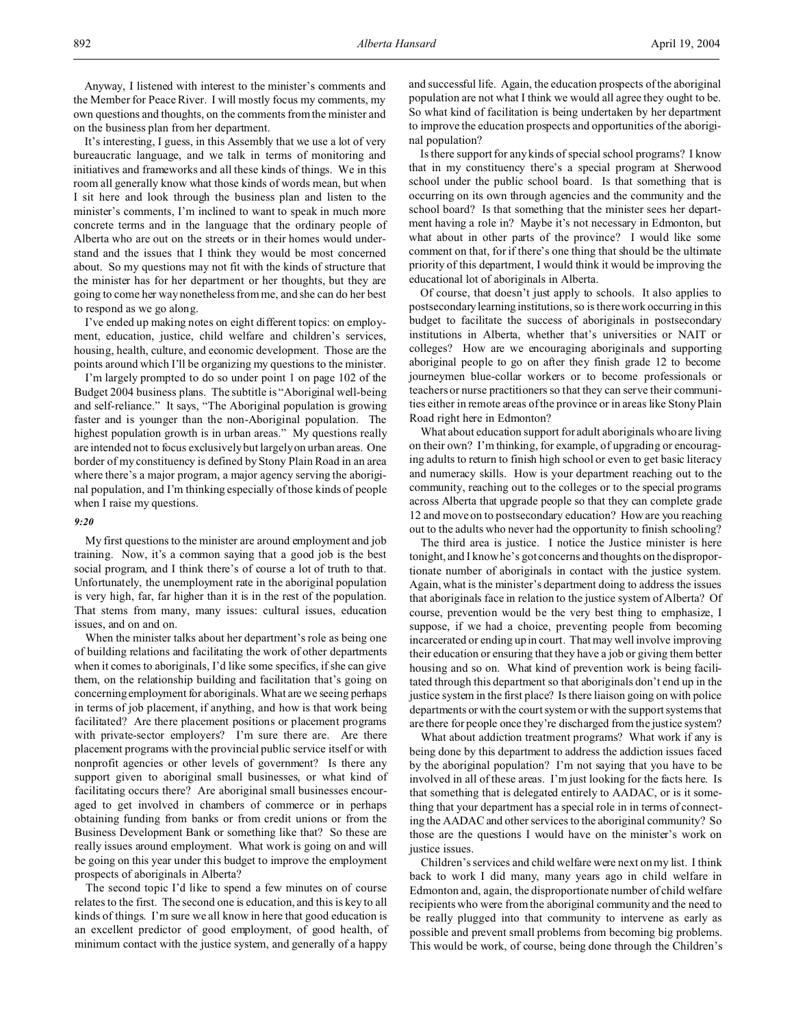Anyway, I listened with interest to the minister's comments and the Member for Peace River. I will mostly focus my comments, my own questions and thoughts, on the comments from the minister and on the business plan from her department.

It's interesting, I guess, in this Assembly that we use a lot of very bureaucratic language, and we talk in terms of monitoring and initiatives and frameworks and all these kinds of things. We in this room all generally know what those kinds of words mean, but when I sit here and look through the business plan and listen to the minister's comments, I'm inclined to want to speak in much more concrete terms and in the language that the ordinary people of Alberta who are out on the streets or in their homes would understand and the issues that I think they would be most concerned about. So my questions may not fit with the kinds of structure that the minister has for her department or her thoughts, but they are going to come her way nonetheless from me, and she can do her best to respond as we go along.

I've ended up making notes on eight different topics: on employment, education, justice, child welfare and children's services, housing, health, culture, and economic development. Those are the points around which I'll be organizing my questions to the minister.

I'm largely prompted to do so under point 1 on page 102 of the Budget 2004 business plans. The subtitle is "Aboriginal well-being and self-reliance." It says, "The Aboriginal population is growing faster and is younger than the non-Aboriginal population. The highest population growth is in urban areas." My questions really are intended not to focus exclusively but largely on urban areas. One border of my constituency is defined by Stony Plain Road in an area where there's a major program, a major agency serving the aboriginal population, and I'm thinking especially of those kinds of people when I raise my questions.

### *9:20*

My first questions to the minister are around employment and job training. Now, it's a common saying that a good job is the best social program, and I think there's of course a lot of truth to that. Unfortunately, the unemployment rate in the aboriginal population is very high, far, far higher than it is in the rest of the population. That stems from many, many issues: cultural issues, education issues, and on and on.

When the minister talks about her department's role as being one of building relations and facilitating the work of other departments when it comes to aboriginals, I'd like some specifics, if she can give them, on the relationship building and facilitation that's going on concerning employment for aboriginals. What are we seeing perhaps in terms of job placement, if anything, and how is that work being facilitated? Are there placement positions or placement programs with private-sector employers? I'm sure there are. Are there placement programs with the provincial public service itself or with nonprofit agencies or other levels of government? Is there any support given to aboriginal small businesses, or what kind of facilitating occurs there? Are aboriginal small businesses encouraged to get involved in chambers of commerce or in perhaps obtaining funding from banks or from credit unions or from the Business Development Bank or something like that? So these are really issues around employment. What work is going on and will be going on this year under this budget to improve the employment prospects of aboriginals in Alberta?

The second topic I'd like to spend a few minutes on of course relates to the first. The second one is education, and this is key to all kinds of things. I'm sure we all know in here that good education is an excellent predictor of good employment, of good health, of minimum contact with the justice system, and generally of a happy

and successful life. Again, the education prospects of the aboriginal population are not what I think we would all agree they ought to be. So what kind of facilitation is being undertaken by her department to improve the education prospects and opportunities of the aboriginal population?

Is there support for any kinds of special school programs? I know that in my constituency there's a special program at Sherwood school under the public school board. Is that something that is occurring on its own through agencies and the community and the school board? Is that something that the minister sees her department having a role in? Maybe it's not necessary in Edmonton, but what about in other parts of the province? I would like some comment on that, for if there's one thing that should be the ultimate priority of this department, I would think it would be improving the educational lot of aboriginals in Alberta.

Of course, that doesn't just apply to schools. It also applies to postsecondary learning institutions, so is there work occurring in this budget to facilitate the success of aboriginals in postsecondary institutions in Alberta, whether that's universities or NAIT or colleges? How are we encouraging aboriginals and supporting aboriginal people to go on after they finish grade 12 to become journeymen blue-collar workers or to become professionals or teachers or nurse practitioners so that they can serve their communities either in remote areas of the province or in areas like Stony Plain Road right here in Edmonton?

What about education support for adult aboriginals who are living on their own? I'm thinking, for example, of upgrading or encouraging adults to return to finish high school or even to get basic literacy and numeracy skills. How is your department reaching out to the community, reaching out to the colleges or to the special programs across Alberta that upgrade people so that they can complete grade 12 and move on to postsecondary education? How are you reaching out to the adults who never had the opportunity to finish schooling?

The third area is justice. I notice the Justice minister is here tonight, and I know he's got concerns and thoughts on the disproportionate number of aboriginals in contact with the justice system. Again, what is the minister's department doing to address the issues that aboriginals face in relation to the justice system of Alberta? Of course, prevention would be the very best thing to emphasize, I suppose, if we had a choice, preventing people from becoming incarcerated or ending up in court. That may well involve improving their education or ensuring that they have a job or giving them better housing and so on. What kind of prevention work is being facilitated through this department so that aboriginals don't end up in the justice system in the first place? Is there liaison going on with police departments or with the court system or with the support systems that are there for people once they're discharged from the justice system?

What about addiction treatment programs? What work if any is being done by this department to address the addiction issues faced by the aboriginal population? I'm not saying that you have to be involved in all of these areas. I'm just looking for the facts here. Is that something that is delegated entirely to AADAC, or is it something that your department has a special role in in terms of connecting the AADAC and other services to the aboriginal community? So those are the questions I would have on the minister's work on justice issues.

Children's services and child welfare were next on my list. I think back to work I did many, many years ago in child welfare in Edmonton and, again, the disproportionate number of child welfare recipients who were from the aboriginal community and the need to be really plugged into that community to intervene as early as possible and prevent small problems from becoming big problems. This would be work, of course, being done through the Children's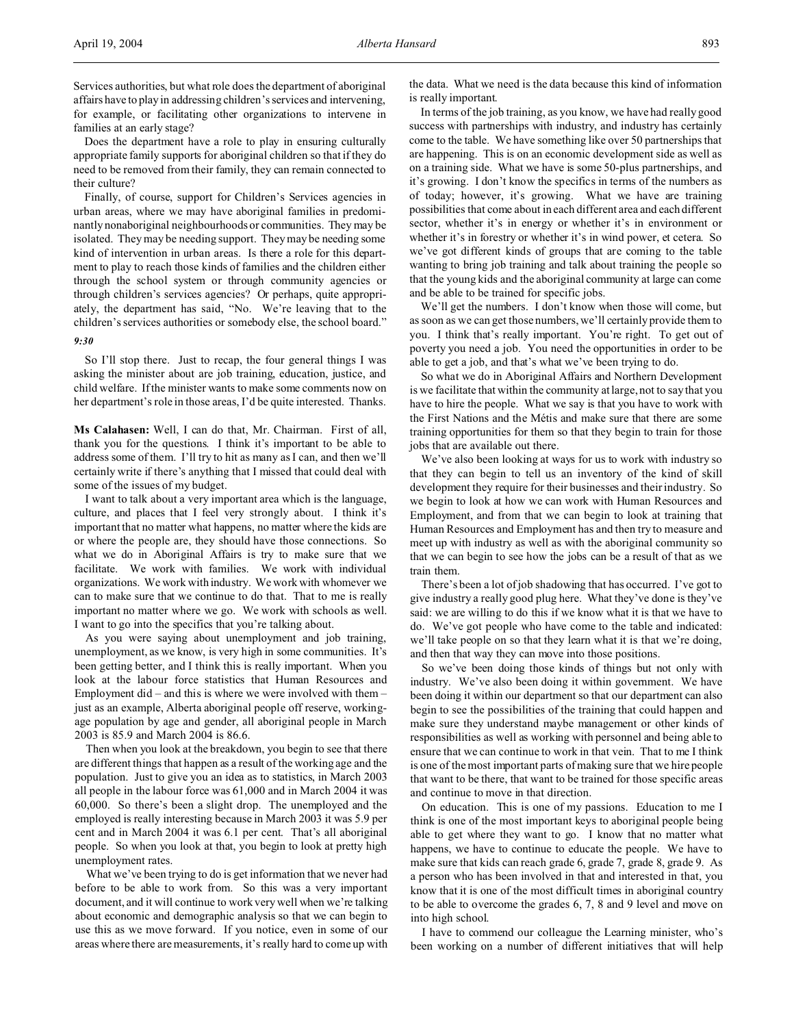Services authorities, but what role does the department of aboriginal affairs have to play in addressing children's services and intervening, for example, or facilitating other organizations to intervene in families at an early stage?

Does the department have a role to play in ensuring culturally appropriate family supports for aboriginal children so that if they do need to be removed from their family, they can remain connected to their culture?

Finally, of course, support for Children's Services agencies in urban areas, where we may have aboriginal families in predominantly nonaboriginal neighbourhoods or communities. They may be isolated. They may be needing support. They may be needing some kind of intervention in urban areas. Is there a role for this department to play to reach those kinds of families and the children either through the school system or through community agencies or through children's services agencies? Or perhaps, quite appropriately, the department has said, "No. We're leaving that to the children's services authorities or somebody else, the school board."

## *9:30*

So I'll stop there. Just to recap, the four general things I was asking the minister about are job training, education, justice, and child welfare. If the minister wants to make some comments now on her department's role in those areas, I'd be quite interested. Thanks.

**Ms Calahasen:** Well, I can do that, Mr. Chairman. First of all, thank you for the questions. I think it's important to be able to address some of them. I'll try to hit as many as I can, and then we'll certainly write if there's anything that I missed that could deal with some of the issues of my budget.

I want to talk about a very important area which is the language, culture, and places that I feel very strongly about. I think it's important that no matter what happens, no matter where the kids are or where the people are, they should have those connections. So what we do in Aboriginal Affairs is try to make sure that we facilitate. We work with families. We work with individual organizations. We work with industry. We work with whomever we can to make sure that we continue to do that. That to me is really important no matter where we go. We work with schools as well. I want to go into the specifics that you're talking about.

As you were saying about unemployment and job training, unemployment, as we know, is very high in some communities. It's been getting better, and I think this is really important. When you look at the labour force statistics that Human Resources and Employment did – and this is where we were involved with them – just as an example, Alberta aboriginal people off reserve, workingage population by age and gender, all aboriginal people in March 2003 is 85.9 and March 2004 is 86.6.

Then when you look at the breakdown, you begin to see that there are different things that happen as a result of the working age and the population. Just to give you an idea as to statistics, in March 2003 all people in the labour force was 61,000 and in March 2004 it was 60,000. So there's been a slight drop. The unemployed and the employed is really interesting because in March 2003 it was 5.9 per cent and in March 2004 it was 6.1 per cent. That's all aboriginal people. So when you look at that, you begin to look at pretty high unemployment rates.

What we've been trying to do is get information that we never had before to be able to work from. So this was a very important document, and it will continue to work very well when we're talking about economic and demographic analysis so that we can begin to use this as we move forward. If you notice, even in some of our areas where there are measurements, it's really hard to come up with

the data. What we need is the data because this kind of information is really important.

In terms of the job training, as you know, we have had really good success with partnerships with industry, and industry has certainly come to the table. We have something like over 50 partnerships that are happening. This is on an economic development side as well as on a training side. What we have is some 50-plus partnerships, and it's growing. I don't know the specifics in terms of the numbers as of today; however, it's growing. What we have are training possibilities that come about in each different area and each different sector, whether it's in energy or whether it's in environment or whether it's in forestry or whether it's in wind power, et cetera. So we've got different kinds of groups that are coming to the table wanting to bring job training and talk about training the people so that the young kids and the aboriginal community at large can come and be able to be trained for specific jobs.

We'll get the numbers. I don't know when those will come, but as soon as we can get those numbers, we'll certainly provide them to you. I think that's really important. You're right. To get out of poverty you need a job. You need the opportunities in order to be able to get a job, and that's what we've been trying to do.

So what we do in Aboriginal Affairs and Northern Development is we facilitate that within the community at large, not to say that you have to hire the people. What we say is that you have to work with the First Nations and the Métis and make sure that there are some training opportunities for them so that they begin to train for those jobs that are available out there.

We've also been looking at ways for us to work with industry so that they can begin to tell us an inventory of the kind of skill development they require for their businesses and their industry. So we begin to look at how we can work with Human Resources and Employment, and from that we can begin to look at training that Human Resources and Employment has and then try to measure and meet up with industry as well as with the aboriginal community so that we can begin to see how the jobs can be a result of that as we train them.

There's been a lot of job shadowing that has occurred. I've got to give industry a really good plug here. What they've done is they've said: we are willing to do this if we know what it is that we have to do. We've got people who have come to the table and indicated: we'll take people on so that they learn what it is that we're doing, and then that way they can move into those positions.

So we've been doing those kinds of things but not only with industry. We've also been doing it within government. We have been doing it within our department so that our department can also begin to see the possibilities of the training that could happen and make sure they understand maybe management or other kinds of responsibilities as well as working with personnel and being able to ensure that we can continue to work in that vein. That to me I think is one of the most important parts of making sure that we hire people that want to be there, that want to be trained for those specific areas and continue to move in that direction.

On education. This is one of my passions. Education to me I think is one of the most important keys to aboriginal people being able to get where they want to go. I know that no matter what happens, we have to continue to educate the people. We have to make sure that kids can reach grade 6, grade 7, grade 8, grade 9. As a person who has been involved in that and interested in that, you know that it is one of the most difficult times in aboriginal country to be able to overcome the grades 6, 7, 8 and 9 level and move on into high school.

I have to commend our colleague the Learning minister, who's been working on a number of different initiatives that will help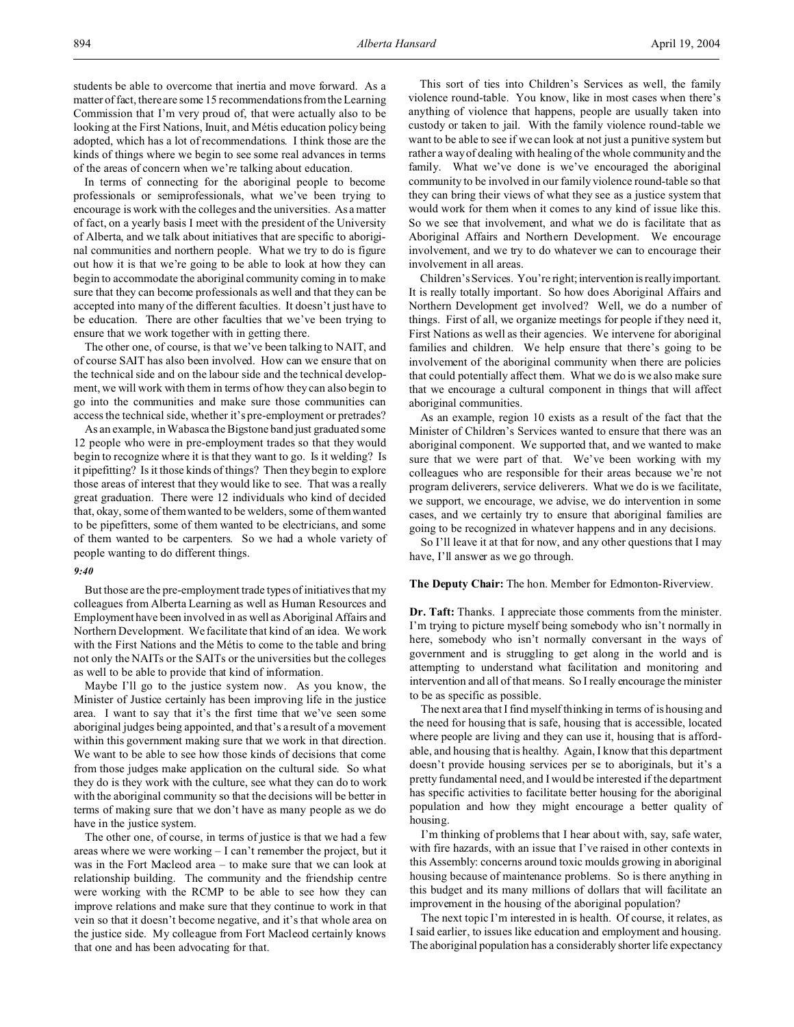In terms of connecting for the aboriginal people to become professionals or semiprofessionals, what we've been trying to encourage is work with the colleges and the universities. As a matter of fact, on a yearly basis I meet with the president of the University of Alberta, and we talk about initiatives that are specific to aboriginal communities and northern people. What we try to do is figure out how it is that we're going to be able to look at how they can begin to accommodate the aboriginal community coming in to make sure that they can become professionals as well and that they can be accepted into many of the different faculties. It doesn't just have to be education. There are other faculties that we've been trying to ensure that we work together with in getting there.

The other one, of course, is that we've been talking to NAIT, and of course SAIT has also been involved. How can we ensure that on the technical side and on the labour side and the technical development, we will work with them in terms of how they can also begin to go into the communities and make sure those communities can access the technical side, whether it's pre-employment or pretrades?

As an example, in Wabasca the Bigstone band just graduated some 12 people who were in pre-employment trades so that they would begin to recognize where it is that they want to go. Is it welding? Is it pipefitting? Is it those kinds of things? Then they begin to explore those areas of interest that they would like to see. That was a really great graduation. There were 12 individuals who kind of decided that, okay, some of them wanted to be welders, some of them wanted to be pipefitters, some of them wanted to be electricians, and some of them wanted to be carpenters. So we had a whole variety of people wanting to do different things.

#### *9:40*

But those are the pre-employment trade types of initiatives that my colleagues from Alberta Learning as well as Human Resources and Employment have been involved in as well as Aboriginal Affairs and Northern Development. We facilitate that kind of an idea. We work with the First Nations and the Métis to come to the table and bring not only the NAITs or the SAITs or the universities but the colleges as well to be able to provide that kind of information.

Maybe I'll go to the justice system now. As you know, the Minister of Justice certainly has been improving life in the justice area. I want to say that it's the first time that we've seen some aboriginal judges being appointed, and that's a result of a movement within this government making sure that we work in that direction. We want to be able to see how those kinds of decisions that come from those judges make application on the cultural side. So what they do is they work with the culture, see what they can do to work with the aboriginal community so that the decisions will be better in terms of making sure that we don't have as many people as we do have in the justice system.

The other one, of course, in terms of justice is that we had a few areas where we were working – I can't remember the project, but it was in the Fort Macleod area – to make sure that we can look at relationship building. The community and the friendship centre were working with the RCMP to be able to see how they can improve relations and make sure that they continue to work in that vein so that it doesn't become negative, and it's that whole area on the justice side. My colleague from Fort Macleod certainly knows that one and has been advocating for that.

This sort of ties into Children's Services as well, the family violence round-table. You know, like in most cases when there's anything of violence that happens, people are usually taken into custody or taken to jail. With the family violence round-table we want to be able to see if we can look at not just a punitive system but rather a way of dealing with healing of the whole community and the family. What we've done is we've encouraged the aboriginal community to be involved in our family violence round-table so that they can bring their views of what they see as a justice system that would work for them when it comes to any kind of issue like this. So we see that involvement, and what we do is facilitate that as Aboriginal Affairs and Northern Development. We encourage involvement, and we try to do whatever we can to encourage their involvement in all areas.

Children's Services. You're right; intervention is really important. It is really totally important. So how does Aboriginal Affairs and Northern Development get involved? Well, we do a number of things. First of all, we organize meetings for people if they need it, First Nations as well as their agencies. We intervene for aboriginal families and children. We help ensure that there's going to be involvement of the aboriginal community when there are policies that could potentially affect them. What we do is we also make sure that we encourage a cultural component in things that will affect aboriginal communities.

As an example, region 10 exists as a result of the fact that the Minister of Children's Services wanted to ensure that there was an aboriginal component. We supported that, and we wanted to make sure that we were part of that. We've been working with my colleagues who are responsible for their areas because we're not program deliverers, service deliverers. What we do is we facilitate, we support, we encourage, we advise, we do intervention in some cases, and we certainly try to ensure that aboriginal families are going to be recognized in whatever happens and in any decisions.

So I'll leave it at that for now, and any other questions that I may have, I'll answer as we go through.

## **The Deputy Chair:** The hon. Member for Edmonton-Riverview.

**Dr. Taft:** Thanks. I appreciate those comments from the minister. I'm trying to picture myself being somebody who isn't normally in here, somebody who isn't normally conversant in the ways of government and is struggling to get along in the world and is attempting to understand what facilitation and monitoring and intervention and all of that means. So I really encourage the minister to be as specific as possible.

The next area that I find myself thinking in terms of is housing and the need for housing that is safe, housing that is accessible, located where people are living and they can use it, housing that is affordable, and housing that is healthy. Again, I know that this department doesn't provide housing services per se to aboriginals, but it's a pretty fundamental need, and I would be interested if the department has specific activities to facilitate better housing for the aboriginal population and how they might encourage a better quality of housing.

I'm thinking of problems that I hear about with, say, safe water, with fire hazards, with an issue that I've raised in other contexts in this Assembly: concerns around toxic moulds growing in aboriginal housing because of maintenance problems. So is there anything in this budget and its many millions of dollars that will facilitate an improvement in the housing of the aboriginal population?

The next topic I'm interested in is health. Of course, it relates, as I said earlier, to issues like education and employment and housing. The aboriginal population has a considerably shorter life expectancy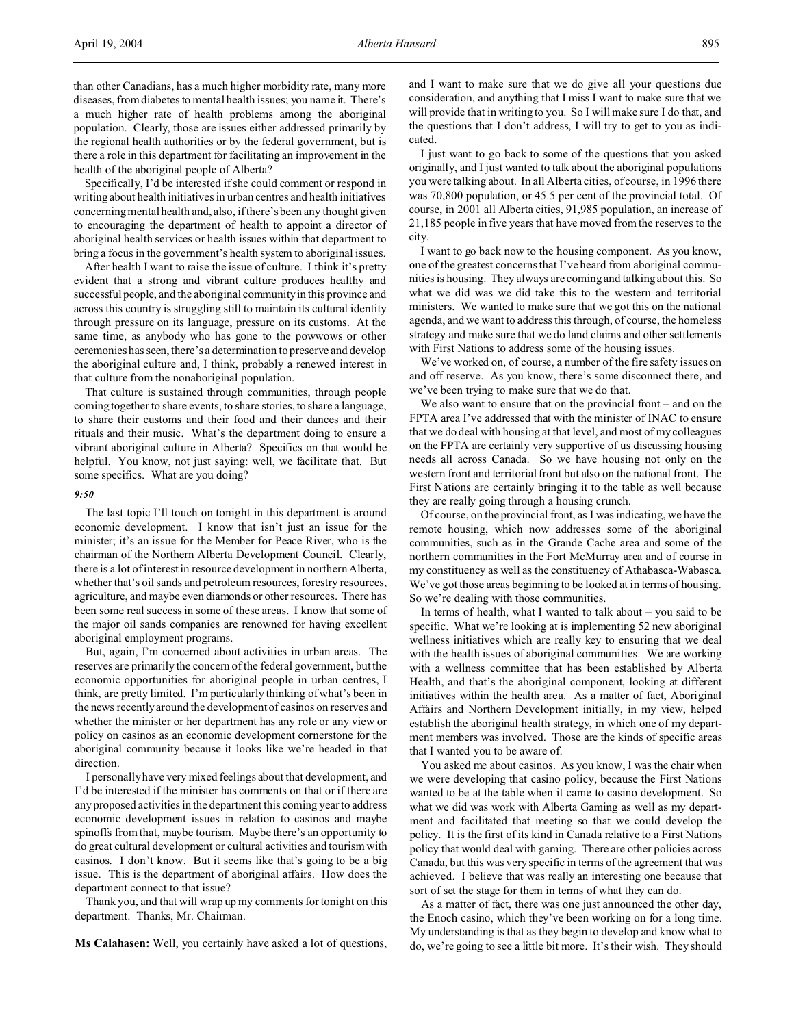than other Canadians, has a much higher morbidity rate, many more diseases, from diabetes to mental health issues; you name it. There's a much higher rate of health problems among the aboriginal population. Clearly, those are issues either addressed primarily by the regional health authorities or by the federal government, but is there a role in this department for facilitating an improvement in the health of the aboriginal people of Alberta?

Specifically, I'd be interested if she could comment or respond in writing about health initiatives in urban centres and health initiatives concerning mental health and, also, if there's been any thought given to encouraging the department of health to appoint a director of aboriginal health services or health issues within that department to bring a focus in the government's health system to aboriginal issues.

After health I want to raise the issue of culture. I think it's pretty evident that a strong and vibrant culture produces healthy and successful people, and the aboriginal community in this province and across this country is struggling still to maintain its cultural identity through pressure on its language, pressure on its customs. At the same time, as anybody who has gone to the powwows or other ceremonies has seen, there's a determination to preserve and develop the aboriginal culture and, I think, probably a renewed interest in that culture from the nonaboriginal population.

That culture is sustained through communities, through people coming together to share events, to share stories, to share a language, to share their customs and their food and their dances and their rituals and their music. What's the department doing to ensure a vibrant aboriginal culture in Alberta? Specifics on that would be helpful. You know, not just saying: well, we facilitate that. But some specifics. What are you doing?

### *9:50*

The last topic I'll touch on tonight in this department is around economic development. I know that isn't just an issue for the minister; it's an issue for the Member for Peace River, who is the chairman of the Northern Alberta Development Council. Clearly, there is a lot of interest in resource development in northern Alberta, whether that's oil sands and petroleum resources, forestry resources, agriculture, and maybe even diamonds or other resources. There has been some real success in some of these areas. I know that some of the major oil sands companies are renowned for having excellent aboriginal employment programs.

But, again, I'm concerned about activities in urban areas. The reserves are primarily the concern of the federal government, but the economic opportunities for aboriginal people in urban centres, I think, are pretty limited. I'm particularly thinking of what's been in the news recently around the development of casinos on reserves and whether the minister or her department has any role or any view or policy on casinos as an economic development cornerstone for the aboriginal community because it looks like we're headed in that direction.

I personally have very mixed feelings about that development, and I'd be interested if the minister has comments on that or if there are any proposed activities in the department this coming year to address economic development issues in relation to casinos and maybe spinoffs from that, maybe tourism. Maybe there's an opportunity to do great cultural development or cultural activities and tourism with casinos. I don't know. But it seems like that's going to be a big issue. This is the department of aboriginal affairs. How does the department connect to that issue?

Thank you, and that will wrap up my comments for tonight on this department. Thanks, Mr. Chairman.

**Ms Calahasen:** Well, you certainly have asked a lot of questions,

and I want to make sure that we do give all your questions due consideration, and anything that I miss I want to make sure that we will provide that in writing to you. So I will make sure I do that, and the questions that I don't address, I will try to get to you as indicated.

I just want to go back to some of the questions that you asked originally, and I just wanted to talk about the aboriginal populations you were talking about. In all Alberta cities, of course, in 1996 there was 70,800 population, or 45.5 per cent of the provincial total. Of course, in 2001 all Alberta cities, 91,985 population, an increase of 21,185 people in five years that have moved from the reserves to the city.

I want to go back now to the housing component. As you know, one of the greatest concerns that I've heard from aboriginal communities is housing. They always are coming and talking about this. So what we did was we did take this to the western and territorial ministers. We wanted to make sure that we got this on the national agenda, and we want to address this through, of course, the homeless strategy and make sure that we do land claims and other settlements with First Nations to address some of the housing issues.

We've worked on, of course, a number of the fire safety issues on and off reserve. As you know, there's some disconnect there, and we've been trying to make sure that we do that.

We also want to ensure that on the provincial front – and on the FPTA area I've addressed that with the minister of INAC to ensure that we do deal with housing at that level, and most of my colleagues on the FPTA are certainly very supportive of us discussing housing needs all across Canada. So we have housing not only on the western front and territorial front but also on the national front. The First Nations are certainly bringing it to the table as well because they are really going through a housing crunch.

Of course, on the provincial front, as I was indicating, we have the remote housing, which now addresses some of the aboriginal communities, such as in the Grande Cache area and some of the northern communities in the Fort McMurray area and of course in my constituency as well as the constituency of Athabasca-Wabasca. We've got those areas beginning to be looked at in terms of housing. So we're dealing with those communities.

In terms of health, what I wanted to talk about – you said to be specific. What we're looking at is implementing 52 new aboriginal wellness initiatives which are really key to ensuring that we deal with the health issues of aboriginal communities. We are working with a wellness committee that has been established by Alberta Health, and that's the aboriginal component, looking at different initiatives within the health area. As a matter of fact, Aboriginal Affairs and Northern Development initially, in my view, helped establish the aboriginal health strategy, in which one of my department members was involved. Those are the kinds of specific areas that I wanted you to be aware of.

You asked me about casinos. As you know, I was the chair when we were developing that casino policy, because the First Nations wanted to be at the table when it came to casino development. So what we did was work with Alberta Gaming as well as my department and facilitated that meeting so that we could develop the policy. It is the first of its kind in Canada relative to a First Nations policy that would deal with gaming. There are other policies across Canada, but this was very specific in terms of the agreement that was achieved. I believe that was really an interesting one because that sort of set the stage for them in terms of what they can do.

As a matter of fact, there was one just announced the other day, the Enoch casino, which they've been working on for a long time. My understanding is that as they begin to develop and know what to do, we're going to see a little bit more. It's their wish. They should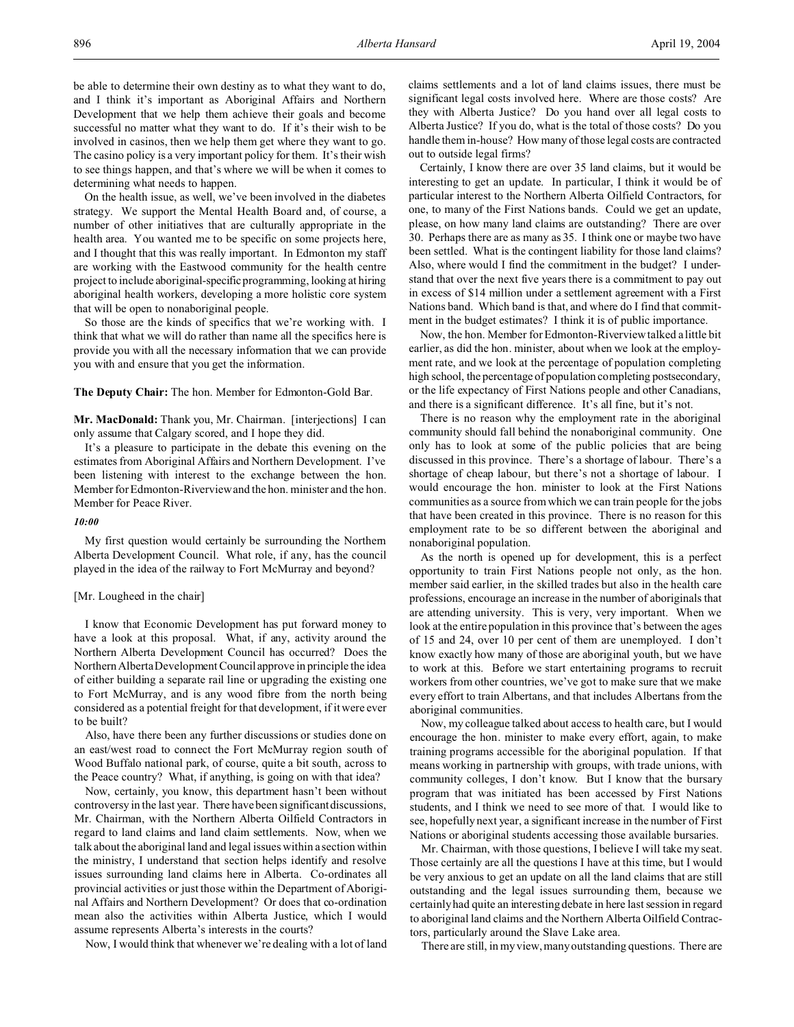On the health issue, as well, we've been involved in the diabetes strategy. We support the Mental Health Board and, of course, a number of other initiatives that are culturally appropriate in the health area. You wanted me to be specific on some projects here, and I thought that this was really important. In Edmonton my staff are working with the Eastwood community for the health centre project to include aboriginal-specific programming, looking at hiring aboriginal health workers, developing a more holistic core system that will be open to nonaboriginal people.

So those are the kinds of specifics that we're working with. I think that what we will do rather than name all the specifics here is provide you with all the necessary information that we can provide you with and ensure that you get the information.

**The Deputy Chair:** The hon. Member for Edmonton-Gold Bar.

**Mr. MacDonald:** Thank you, Mr. Chairman. [interjections] I can only assume that Calgary scored, and I hope they did.

It's a pleasure to participate in the debate this evening on the estimates from Aboriginal Affairs and Northern Development. I've been listening with interest to the exchange between the hon. Member for Edmonton-Riverview and the hon. minister and the hon. Member for Peace River.

### *10:00*

My first question would certainly be surrounding the Northern Alberta Development Council. What role, if any, has the council played in the idea of the railway to Fort McMurray and beyond?

## [Mr. Lougheed in the chair]

I know that Economic Development has put forward money to have a look at this proposal. What, if any, activity around the Northern Alberta Development Council has occurred? Does the Northern Alberta Development Council approve in principle the idea of either building a separate rail line or upgrading the existing one to Fort McMurray, and is any wood fibre from the north being considered as a potential freight for that development, if it were ever to be built?

Also, have there been any further discussions or studies done on an east/west road to connect the Fort McMurray region south of Wood Buffalo national park, of course, quite a bit south, across to the Peace country? What, if anything, is going on with that idea?

Now, certainly, you know, this department hasn't been without controversy in the last year. There have been significant discussions, Mr. Chairman, with the Northern Alberta Oilfield Contractors in regard to land claims and land claim settlements. Now, when we talk about the aboriginal land and legal issues within a section within the ministry, I understand that section helps identify and resolve issues surrounding land claims here in Alberta. Co-ordinates all provincial activities or just those within the Department of Aboriginal Affairs and Northern Development? Or does that co-ordination mean also the activities within Alberta Justice, which I would assume represents Alberta's interests in the courts?

Now, I would think that whenever we're dealing with a lot of land

claims settlements and a lot of land claims issues, there must be significant legal costs involved here. Where are those costs? Are they with Alberta Justice? Do you hand over all legal costs to Alberta Justice? If you do, what is the total of those costs? Do you handle them in-house? How many of those legal costs are contracted out to outside legal firms?

Certainly, I know there are over 35 land claims, but it would be interesting to get an update. In particular, I think it would be of particular interest to the Northern Alberta Oilfield Contractors, for one, to many of the First Nations bands. Could we get an update, please, on how many land claims are outstanding? There are over 30. Perhaps there are as many as 35. I think one or maybe two have been settled. What is the contingent liability for those land claims? Also, where would I find the commitment in the budget? I understand that over the next five years there is a commitment to pay out in excess of \$14 million under a settlement agreement with a First Nations band. Which band is that, and where do I find that commitment in the budget estimates? I think it is of public importance.

Now, the hon. Member for Edmonton-Riverview talked a little bit earlier, as did the hon. minister, about when we look at the employment rate, and we look at the percentage of population completing high school, the percentage of population completing postsecondary, or the life expectancy of First Nations people and other Canadians, and there is a significant difference. It's all fine, but it's not.

There is no reason why the employment rate in the aboriginal community should fall behind the nonaboriginal community. One only has to look at some of the public policies that are being discussed in this province. There's a shortage of labour. There's a shortage of cheap labour, but there's not a shortage of labour. I would encourage the hon. minister to look at the First Nations communities as a source from which we can train people for the jobs that have been created in this province. There is no reason for this employment rate to be so different between the aboriginal and nonaboriginal population.

As the north is opened up for development, this is a perfect opportunity to train First Nations people not only, as the hon. member said earlier, in the skilled trades but also in the health care professions, encourage an increase in the number of aboriginals that are attending university. This is very, very important. When we look at the entire population in this province that's between the ages of 15 and 24, over 10 per cent of them are unemployed. I don't know exactly how many of those are aboriginal youth, but we have to work at this. Before we start entertaining programs to recruit workers from other countries, we've got to make sure that we make every effort to train Albertans, and that includes Albertans from the aboriginal communities.

Now, my colleague talked about access to health care, but I would encourage the hon. minister to make every effort, again, to make training programs accessible for the aboriginal population. If that means working in partnership with groups, with trade unions, with community colleges, I don't know. But I know that the bursary program that was initiated has been accessed by First Nations students, and I think we need to see more of that. I would like to see, hopefully next year, a significant increase in the number of First Nations or aboriginal students accessing those available bursaries.

Mr. Chairman, with those questions, I believe I will take my seat. Those certainly are all the questions I have at this time, but I would be very anxious to get an update on all the land claims that are still outstanding and the legal issues surrounding them, because we certainly had quite an interesting debate in here last session in regard to aboriginal land claims and the Northern Alberta Oilfield Contractors, particularly around the Slave Lake area.

There are still, in my view, many outstanding questions. There are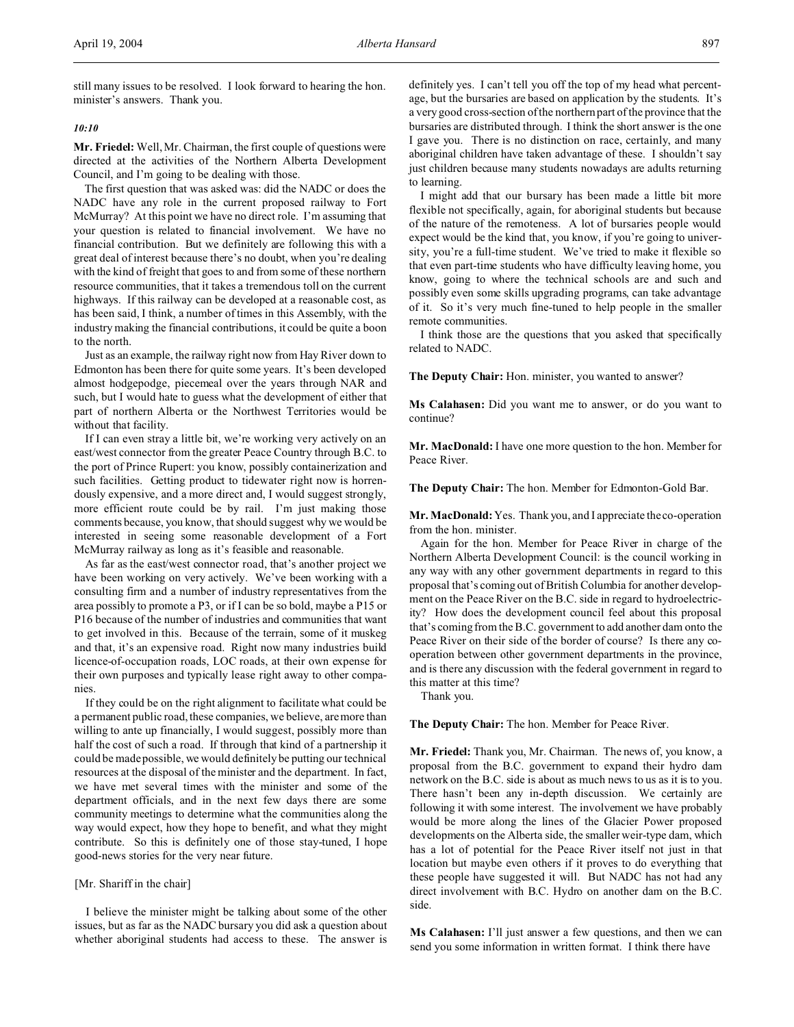still many issues to be resolved. I look forward to hearing the hon. minister's answers. Thank you.

# *10:10*

**Mr. Friedel:** Well, Mr. Chairman, the first couple of questions were directed at the activities of the Northern Alberta Development Council, and I'm going to be dealing with those.

The first question that was asked was: did the NADC or does the NADC have any role in the current proposed railway to Fort McMurray? At this point we have no direct role. I'm assuming that your question is related to financial involvement. We have no financial contribution. But we definitely are following this with a great deal of interest because there's no doubt, when you're dealing with the kind of freight that goes to and from some of these northern resource communities, that it takes a tremendous toll on the current highways. If this railway can be developed at a reasonable cost, as has been said, I think, a number of times in this Assembly, with the industry making the financial contributions, it could be quite a boon to the north.

Just as an example, the railway right now from Hay River down to Edmonton has been there for quite some years. It's been developed almost hodgepodge, piecemeal over the years through NAR and such, but I would hate to guess what the development of either that part of northern Alberta or the Northwest Territories would be without that facility.

If I can even stray a little bit, we're working very actively on an east/west connector from the greater Peace Country through B.C. to the port of Prince Rupert: you know, possibly containerization and such facilities. Getting product to tidewater right now is horrendously expensive, and a more direct and, I would suggest strongly, more efficient route could be by rail. I'm just making those comments because, you know, that should suggest why we would be interested in seeing some reasonable development of a Fort McMurray railway as long as it's feasible and reasonable.

As far as the east/west connector road, that's another project we have been working on very actively. We've been working with a consulting firm and a number of industry representatives from the area possibly to promote a P3, or if I can be so bold, maybe a P15 or P16 because of the number of industries and communities that want to get involved in this. Because of the terrain, some of it muskeg and that, it's an expensive road. Right now many industries build licence-of-occupation roads, LOC roads, at their own expense for their own purposes and typically lease right away to other companies.

If they could be on the right alignment to facilitate what could be a permanent public road, these companies, we believe, are more than willing to ante up financially, I would suggest, possibly more than half the cost of such a road. If through that kind of a partnership it could be made possible, we would definitely be putting our technical resources at the disposal of the minister and the department. In fact, we have met several times with the minister and some of the department officials, and in the next few days there are some community meetings to determine what the communities along the way would expect, how they hope to benefit, and what they might contribute. So this is definitely one of those stay-tuned, I hope good-news stories for the very near future.

## [Mr. Shariff in the chair]

I believe the minister might be talking about some of the other issues, but as far as the NADC bursary you did ask a question about whether aboriginal students had access to these. The answer is

definitely yes. I can't tell you off the top of my head what percentage, but the bursaries are based on application by the students. It's a very good cross-section of the northern part of the province that the bursaries are distributed through. I think the short answer is the one I gave you. There is no distinction on race, certainly, and many aboriginal children have taken advantage of these. I shouldn't say just children because many students nowadays are adults returning to learning.

I might add that our bursary has been made a little bit more flexible not specifically, again, for aboriginal students but because of the nature of the remoteness. A lot of bursaries people would expect would be the kind that, you know, if you're going to university, you're a full-time student. We've tried to make it flexible so that even part-time students who have difficulty leaving home, you know, going to where the technical schools are and such and possibly even some skills upgrading programs, can take advantage of it. So it's very much fine-tuned to help people in the smaller remote communities.

I think those are the questions that you asked that specifically related to NADC.

**The Deputy Chair:** Hon. minister, you wanted to answer?

**Ms Calahasen:** Did you want me to answer, or do you want to continue?

**Mr. MacDonald:** I have one more question to the hon. Member for Peace River.

**The Deputy Chair:** The hon. Member for Edmonton-Gold Bar.

**Mr. MacDonald:** Yes. Thank you, and I appreciate the co-operation from the hon. minister.

Again for the hon. Member for Peace River in charge of the Northern Alberta Development Council: is the council working in any way with any other government departments in regard to this proposal that's coming out of British Columbia for another development on the Peace River on the B.C. side in regard to hydroelectricity? How does the development council feel about this proposal that's coming from the B.C. government to add another dam onto the Peace River on their side of the border of course? Is there any cooperation between other government departments in the province, and is there any discussion with the federal government in regard to this matter at this time?

Thank you.

**The Deputy Chair:** The hon. Member for Peace River.

**Mr. Friedel:** Thank you, Mr. Chairman. The news of, you know, a proposal from the B.C. government to expand their hydro dam network on the B.C. side is about as much news to us as it is to you. There hasn't been any in-depth discussion. We certainly are following it with some interest. The involvement we have probably would be more along the lines of the Glacier Power proposed developments on the Alberta side, the smaller weir-type dam, which has a lot of potential for the Peace River itself not just in that location but maybe even others if it proves to do everything that these people have suggested it will. But NADC has not had any direct involvement with B.C. Hydro on another dam on the B.C. side.

**Ms Calahasen:** I'll just answer a few questions, and then we can send you some information in written format. I think there have